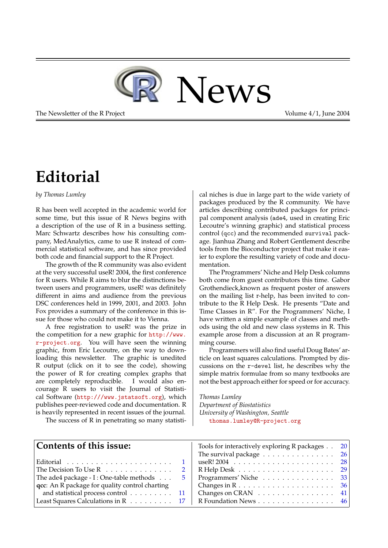

The Newsletter of the R Project The Newsletter of the R Project Volume 4/1, June 2004

# **Editorial**

#### <span id="page-0-0"></span>*by Thomas Lumley*

R has been well accepted in the academic world for some time, but this issue of R News begins with a description of the use of R in a business setting. Marc Schwartz describes how his consulting company, MedAnalytics, came to use R instead of commercial statistical software, and has since provided both code and financial support to the R Project.

The growth of the R community was also evident at the very successful useR! 2004, the first conference for R users. While R aims to blur the distinctions between users and programmers, useR! was definitely different in aims and audience from the previous DSC conferences held in 1999, 2001, and 2003. John Fox provides a summary of the conference in this issue for those who could not make it to Vienna.

A free registration to useR! was the prize in the competition for a new graphic for [http://www.](http://www.r-project.org) [r-project.org](http://www.r-project.org). You will have seen the winning graphic, from Eric Lecoutre, on the way to downloading this newsletter. The graphic is unedited R output (click on it to see the code), showing the power of R for creating complex graphs that are completely reproducible. I would also encourage R users to visit the Journal of Statistical Software (<http:///www.jstatsoft.org>), which publishes peer-reviewed code and documentation. R is heavily represented in recent issues of the journal.

The success of R in penetrating so many statisti-

cal niches is due in large part to the wide variety of packages produced by the R community. We have articles describing contributed packages for principal component analysis (ade4, used in creating Eric Lecoutre's winning graphic) and statistical process control (qcc) and the recommended survival package. Jianhua Zhang and Robert Gentlement describe tools from the Bioconductor project that make it easier to explore the resulting variety of code and documentation.

The Programmers' Niche and Help Desk columns both come from guest contributors this time. Gabor Grothendieck,known as frequent poster of answers on the mailing list r-help, has been invited to contribute to the R Help Desk. He presents "Date and Time Classes in R". For the Programmers' Niche, I have written a simple example of classes and methods using the old and new class systems in R. This example arose from a discussion at an R programming course.

Programmers will also find useful Doug Bates' article on least squares calculations. Prompted by discussions on the r-devel list, he describes why the simple matrix formulae from so many textbooks are not the best approach either for speed or for accuracy.

*Thomas Lumley Department of Biostatistics University of Washington, Seattle* [thomas.lumley@R-project.org](mailto:thomas.lumley@R-project.org)

| Contents of this issue:                                 | Tools for interactively exploring R packages 20                  |  |
|---------------------------------------------------------|------------------------------------------------------------------|--|
|                                                         | The survival package $\dots \dots \dots \dots \dots \dots 26$    |  |
|                                                         |                                                                  |  |
| The Decision To Use $R_1, \ldots, R_n, \ldots, R_n$     | $R$ Help Desk $\ldots \ldots \ldots \ldots \ldots \ldots 29$     |  |
| The ade4 package - I : One-table methods<br>$\mathbf b$ | Programmers' Niche 33                                            |  |
| qcc: An R package for quality control charting          |                                                                  |  |
| and statistical process control 11                      | Changes on CRAN $\ldots \ldots \ldots \ldots \ldots$ 41          |  |
| Least Squares Calculations in R 17                      | R Foundation News $\dots \dots \dots \dots \dots \dots \quad 46$ |  |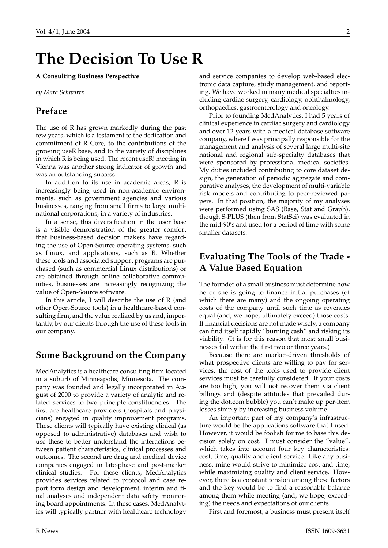# **The Decision To Use R**

#### <span id="page-1-0"></span>**A Consulting Business Perspective**

*by Marc Schwartz*

### **Preface**

The use of R has grown markedly during the past few years, which is a testament to the dedication and commitment of R Core, to the contributions of the growing useR base, and to the variety of disciplines in which R is being used. The recent useR! meeting in Vienna was another strong indicator of growth and was an outstanding success.

In addition to its use in academic areas, R is increasingly being used in non-academic environments, such as government agencies and various businesses, ranging from small firms to large multinational corporations, in a variety of industries.

In a sense, this diversification in the user base is a visible demonstration of the greater comfort that business-based decision makers have regarding the use of Open-Source operating systems, such as Linux, and applications, such as R. Whether these tools and associated support programs are purchased (such as commercial Linux distributions) or are obtained through online collaborative communities, businesses are increasingly recognizing the value of Open-Source software.

In this article, I will describe the use of R (and other Open-Source tools) in a healthcare-based consulting firm, and the value realized by us and, importantly, by our clients through the use of these tools in our company.

### **Some Background on the Company**

MedAnalytics is a healthcare consulting firm located in a suburb of Minneapolis, Minnesota. The company was founded and legally incorporated in August of 2000 to provide a variety of analytic and related services to two principle constituencies. The first are healthcare providers (hospitals and physicians) engaged in quality improvement programs. These clients will typically have existing clinical (as opposed to administrative) databases and wish to use these to better understand the interactions between patient characteristics, clinical processes and outcomes. The second are drug and medical device companies engaged in late-phase and post-market clinical studies. For these clients, MedAnalytics provides services related to protocol and case report form design and development, interim and final analyses and independent data safety monitoring board appointments. In these cases, MedAnalytics will typically partner with healthcare technology

and service companies to develop web-based electronic data capture, study management, and reporting. We have worked in many medical specialties including cardiac surgery, cardiology, ophthalmology, orthopaedics, gastroenterology and oncology.

Prior to founding MedAnalytics, I had 5 years of clinical experience in cardiac surgery and cardiology and over 12 years with a medical database software company, where I was principally responsible for the management and analysis of several large multi-site national and regional sub-specialty databases that were sponsored by professional medical societies. My duties included contributing to core dataset design, the generation of periodic aggregate and comparative analyses, the development of multi-variable risk models and contributing to peer-reviewed papers. In that position, the majority of my analyses were performed using SAS (Base, Stat and Graph), though S-PLUS (then from StatSci) was evaluated in the mid-90's and used for a period of time with some smaller datasets.

## **Evaluating The Tools of the Trade - A Value Based Equation**

The founder of a small business must determine how he or she is going to finance initial purchases (of which there are many) and the ongoing operating costs of the company until such time as revenues equal (and, we hope, ultimately exceed) those costs. If financial decisions are not made wisely, a company can find itself rapidly "burning cash" and risking its viability. (It is for this reason that most small businesses fail within the first two or three years.)

Because there are market-driven thresholds of what prospective clients are willing to pay for services, the cost of the tools used to provide client services must be carefully considered. If your costs are too high, you will not recover them via client billings and (despite attitudes that prevailed during the dot.com bubble) you can't make up per-item losses simply by increasing business volume.

An important part of my company's infrastructure would be the applications software that I used. However, it would be foolish for me to base this decision solely on cost. I must consider the "value", which takes into account four key characteristics: cost, time, quality and client service. Like any business, mine would strive to minimize cost and time, while maximizing quality and client service. However, there is a constant tension among these factors and the key would be to find a reasonable balance among them while meeting (and, we hope, exceeding) the needs and expectations of our clients.

First and foremost, a business must present itself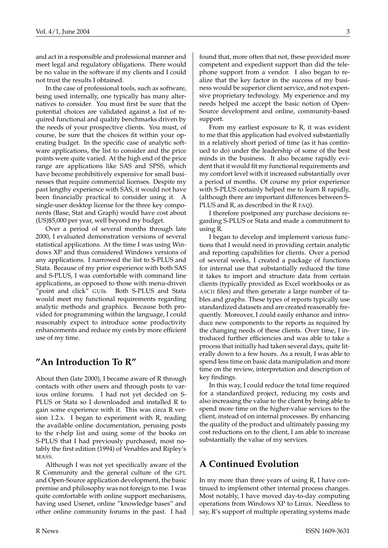and act in a responsible and professional manner and meet legal and regulatory obligations. There would be no value in the software if my clients and I could not trust the results I obtained.

In the case of professional tools, such as software, being used internally, one typically has many alternatives to consider. You must first be sure that the potential choices are validated against a list of required functional and quality benchmarks driven by the needs of your prospective clients. You must, of course, be sure that the choices fit within your operating budget. In the specific case of analytic software applications, the list to consider and the price points were quite varied. At the high end of the price range are applications like SAS and SPSS, which have become prohibitively expensive for small businesses that require commercial licenses. Despite my past lengthy experience with SAS, it would not have been financially practical to consider using it. A single-user desktop license for the three key components (Base, Stat and Graph) would have cost about (US)\$5,000 per year, well beyond my budget.

Over a period of several months through late 2000, I evaluated demonstration versions of several statistical applications. At the time I was using Windows XP and thus considered Windows versions of any applications. I narrowed the list to S-PLUS and Stata. Because of my prior experience with both SAS and S-PLUS, I was comfortable with command line applications, as opposed to those with menu-driven "point and click" GUIs. Both S-PLUS and Stata would meet my functional requirements regarding analytic methods and graphics. Because both provided for programming within the language, I could reasonably expect to introduce some productivity enhancements and reduce my costs by more efficient use of my time.

#### **"An Introduction To R"**

About then (late 2000), I became aware of R through contacts with other users and through posts to various online forums. I had not yet decided on S-PLUS or Stata so I downloaded and installed R to gain some experience with it. This was circa R version 1.2.x. I began to experiment with R, reading the available online documentation, perusing posts to the r-help list and using some of the books on S-PLUS that I had previously purchased, most notably the first edition (1994) of Venables and Ripley's MASS.

Although I was not yet specifically aware of the R Community and the general culture of the GPL and Open-Source application development, the basic premise and philosophy was not foreign to me. I was quite comfortable with online support mechanisms, having used Usenet, online "knowledge bases" and other online community forums in the past. I had

found that, more often that not, these provided more competent and expedient support than did the telephone support from a vendor. I also began to realize that the key factor in the success of my business would be superior client service, and not expensive proprietary technology. My experience and my needs helped me accept the basic notion of Open-Source development and online, community-based support.

From my earliest exposure to R, it was evident to me that this application had evolved substantially in a relatively short period of time (as it has continued to do) under the leadership of some of the best minds in the business. It also became rapidly evident that it would fit my functional requirements and my comfort level with it increased substantially over a period of months. Of course my prior experience with S-PLUS certainly helped me to learn R rapidly, (although there are important differences between S-PLUS and R, as described in the R FAQ).

I therefore postponed any purchase decisions regarding S-PLUS or Stata and made a commitment to using R.

I began to develop and implement various functions that I would need in providing certain analytic and reporting capabilities for clients. Over a period of several weeks, I created a package of functions for internal use that substantially reduced the time it takes to import and structure data from certain clients (typically provided as Excel workbooks or as ASCII files) and then generate a large number of tables and graphs. These types of reports typically use standardized datasets and are created reasonably frequently. Moreover, I could easily enhance and introduce new components to the reports as required by the changing needs of these clients. Over time, I introduced further efficiencies and was able to take a process that initially had taken several days, quite literally down to a few hours. As a result, I was able to spend less time on basic data manipulation and more time on the review, interpretation and description of key findings.

In this way, I could reduce the total time required for a standardized project, reducing my costs and also increasing the value to the client by being able to spend more time on the higher-value services to the client, instead of on internal processes. By enhancing the quality of the product and ultimately passing my cost reductions on to the client, I am able to increase substantially the value of my services.

### **A Continued Evolution**

In my more than three years of using R, I have continued to implement other internal process changes. Most notably, I have moved day-to-day computing operations from Windows XP to Linux. Needless to say, R's support of multiple operating systems made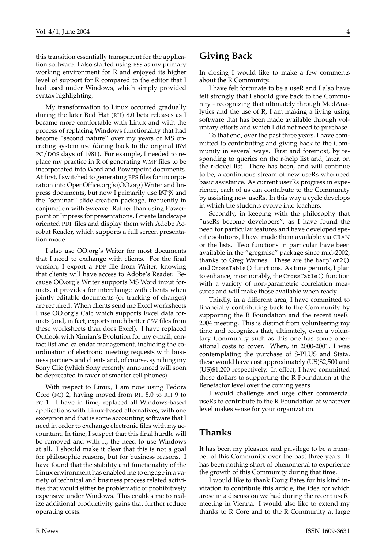this transition essentially transparent for the application software. I also started using ESS as my primary working environment for R and enjoyed its higher level of support for R compared to the editor that I had used under Windows, which simply provided syntax highlighting.

My transformation to Linux occurred gradually during the later Red Hat (RH) 8.0 beta releases as I became more comfortable with Linux and with the process of replacing Windows functionality that had become "second nature" over my years of MS operating system use (dating back to the original IBM PC/DOS days of 1981). For example, I needed to replace my practice in R of generating WMF files to be incorporated into Word and Powerpoint documents. At first, I switched to generating EPS files for incorporation into OpenOffice.org's (OO.org) Writer and Impress documents, but now I primarily use LATEX and the "seminar" slide creation package, frequently in conjunction with Sweave. Rather than using Powerpoint or Impress for presentations, I create landscape oriented PDF files and display them with Adobe Acrobat Reader, which supports a full screen presentation mode.

I also use OO.org's Writer for most documents that I need to exchange with clients. For the final version, I export a PDF file from Writer, knowing that clients will have access to Adobe's Reader. Because OO.org's Writer supports MS Word input formats, it provides for interchange with clients when jointly editable documents (or tracking of changes) are required. When clients send me Excel worksheets I use OO.org's Calc which supports Excel data formats (and, in fact, exports much better CSV files from these worksheets than does Excel). I have replaced Outlook with Ximian's Evolution for my e-mail, contact list and calendar management, including the coordination of electronic meeting requests with business partners and clients and, of course, synching my Sony Clie (which Sony recently announced will soon be deprecated in favor of smarter cell phones).

With respect to Linux, I am now using Fedora Core (FC) 2, having moved from RH 8.0 to RH 9 to FC 1. I have in time, replaced all Windows-based applications with Linux-based alternatives, with one exception and that is some accounting software that I need in order to exchange electronic files with my accountant. In time, I suspect that this final hurdle will be removed and with it, the need to use Windows at all. I should make it clear that this is not a goal for philosophic reasons, but for business reasons. I have found that the stability and functionality of the Linux environment has enabled me to engage in a variety of technical and business process related activities that would either be problematic or prohibitively expensive under Windows. This enables me to realize additional productivity gains that further reduce operating costs.

# **Giving Back**

In closing I would like to make a few comments about the R Community.

I have felt fortunate to be a useR and I also have felt strongly that I should give back to the Community - recognizing that ultimately through MedAnalytics and the use of R, I am making a living using software that has been made available through voluntary efforts and which I did not need to purchase.

To that end, over the past three years, I have committed to contributing and giving back to the Community in several ways. First and foremost, by responding to queries on the r-help list and, later, on the r-devel list. There has been, and will continue to be, a continuous stream of new useRs who need basic assistance. As current userRs progress in experience, each of us can contribute to the Community by assisting new useRs. In this way a cycle develops in which the students evolve into teachers.

Secondly, in keeping with the philosophy that "useRs become developers", as I have found the need for particular features and have developed specific solutions, I have made them available via CRAN or the lists. Two functions in particular have been available in the "gregmisc" package since mid-2002, thanks to Greg Warnes. These are the barplot2() and CrossTable() functions. As time permits, I plan to enhance, most notably, the CrossTable() function with a variety of non-parametric correlation measures and will make those available when ready.

Thirdly, in a different area, I have committed to financially contributing back to the Community by supporting the R Foundation and the recent useR! 2004 meeting. This is distinct from volunteering my time and recognizes that, ultimately, even a voluntary Community such as this one has some operational costs to cover. When, in 2000-2001, I was contemplating the purchase of S-PLUS and Stata, these would have cost approximately (US)\$2,500 and (US)\$1,200 respectively. In effect, I have committed those dollars to supporting the R Foundation at the Benefactor level over the coming years.

I would challenge and urge other commercial useRs to contribute to the R Foundation at whatever level makes sense for your organization.

#### **Thanks**

It has been my pleasure and privilege to be a member of this Community over the past three years. It has been nothing short of phenomenal to experience the growth of this Community during that time.

I would like to thank Doug Bates for his kind invitation to contribute this article, the idea for which arose in a discussion we had during the recent useR! meeting in Vienna. I would also like to extend my thanks to R Core and to the R Community at large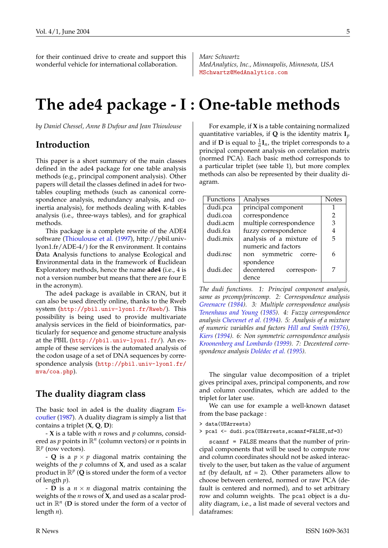<span id="page-4-1"></span>for their continued drive to create and support this wonderful vehicle for international collaboration.

*Marc Schwartz MedAnalytics, Inc., Minneapolis, Minnesota, USA* [MSchwartz@MedAnalytics.com](mailto:MSchwartz@MedAnalytics.com)

# **The ade4 package - I : One-table methods**

<span id="page-4-0"></span>*by Daniel Chessel, Anne B Dufour and Jean Thioulouse*

#### **Introduction**

This paper is a short summary of the main classes defined in the ade4 package for one table analysis methods (e.g., principal component analysis). Other papers will detail the classes defined in ade4 for twotables coupling methods (such as canonical correspondence analysis, redundancy analysis, and coinertia analysis), for methods dealing with K-tables analysis (i.e., three-ways tables), and for graphical methods.

This package is a complete rewrite of the ADE4 software [\(Thioulouse et al.](#page-9-0) [\(1997\)](#page-9-0), http://pbil.univlyon1.fr/ADE-4/) for the R environment. It contains **D**ata **A**nalysis functions to analyse **E**cological and **E**nvironmental data in the framework of **E**uclidean **E**xploratory methods, hence the name **ade4** (i.e., 4 is not a version number but means that there are four E in the acronym).

The ade4 package is available in CRAN, but it can also be used directly online, thanks to the Rweb system (<http://pbil.univ-lyon1.fr/Rweb/>). This possibility is being used to provide multivariate analysis services in the field of bioinformatics, particularly for sequence and genome structure analysis at the PBIL (<http://pbil.univ-lyon1.fr/>). An example of these services is the automated analysis of the codon usage of a set of DNA sequences by correspondence analysis ([http://pbil.univ-lyon1.fr/](http://pbil.univ-lyon1.fr/mva/coa.php) [mva/coa.php](http://pbil.univ-lyon1.fr/mva/coa.php)).

#### **The duality diagram class**

The basic tool in ade4 is the duality diagram [Es](#page-8-0)[coufier](#page-8-0) [\(1987\)](#page-8-0). A duality diagram is simply a list that contains a triplet (**X**, **Q**, **D**):

- **X** is a table with *n* rows and *p* columns, considered as *p* points in R*<sup>n</sup>* (column vectors) or *n* points in  $\mathbb{R}^p$  (row vectors).

- **Q** is a  $p \times p$  diagonal matrix containing the weights of the *p* columns of **X**, and used as a scalar product in  $\mathbb{R}^p$  (Q is stored under the form of a vector of length *p*).

- **D** is a  $n \times n$  diagonal matrix containing the weights of the *n* rows of **X**, and used as a scalar product in  $\mathbb{R}^n$  (**D** is stored under the form of a vector of length *n*).

For example, if **X** is a table containing normalized quantitative variables, if **Q** is the identity matrix **I***p* and if **D** is equal to  $\frac{1}{n}$ **I**<sub>*n*</sub>, the triplet corresponds to a principal component analysis on correlation matrix (normed PCA). Each basic method corresponds to a particular triplet (see table 1), but more complex methods can also be represented by their duality diagram.

| Functions | Analyses                 | <b>Notes</b> |
|-----------|--------------------------|--------------|
| dudi.pca  | principal component      |              |
| dudi.coa  | correspondence           | 2            |
| dudi.acm  | multiple correspondence  | З            |
| dudi.fca  | fuzzy correspondence     |              |
| dudi.mix  | analysis of a mixture of | 5            |
|           | numeric and factors      |              |
| dudi.nsc  | non symmetric corre-     | 6            |
|           | spondence                |              |
| dudi.dec  | decentered<br>correspon- | 7            |
|           | dence                    |              |

*The dudi functions. 1: Principal component analysis, same as prcomp/princomp. 2: Correspondence analysis [Greenacre](#page-8-1) [\(1984\)](#page-8-1). 3: Multiple correspondence analysis [Tenenhaus and Young](#page-9-1) [\(1985\)](#page-9-1). 4: Fuzzy correspondence analysis [Chevenet et al.](#page-8-2) [\(1994\)](#page-8-2). 5: Analysis of a mixture of numeric variables and factors [Hill and Smith](#page-8-3) [\(1976\)](#page-8-3), [Kiers](#page-9-2) [\(1994\)](#page-9-2). 6: Non symmetric correspondence analysis [Kroonenberg and Lombardo](#page-9-3) [\(1999\)](#page-9-3). 7: Decentered correspondence analysis [Dolédec et al.](#page-8-4) [\(1995\)](#page-8-4).*

The singular value decomposition of a triplet gives principal axes, principal components, and row and column coordinates, which are added to the triplet for later use.

We can use for example a well-known dataset from the base package :

> data(USArrests)

> pca1 <- dudi.pca(USArrests,scannf=FALSE,nf=3)

scannf = FALSE means that the number of principal components that will be used to compute row and column coordinates should not be asked interactively to the user, but taken as the value of argument nf (by default,  $nf = 2$ ). Other parameters allow to choose between centered, normed or raw PCA (default is centered and normed), and to set arbitrary row and column weights. The pca1 object is a duality diagram, i.e., a list made of several vectors and dataframes: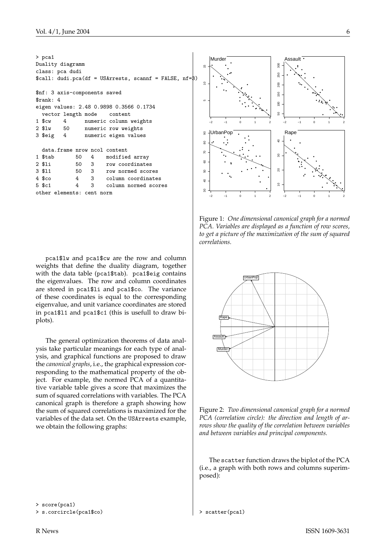| $>$ pca1                                                        |  |  |  |  |  |
|-----------------------------------------------------------------|--|--|--|--|--|
| Duality diagramm                                                |  |  |  |  |  |
| class: pca dudi                                                 |  |  |  |  |  |
| $\text{\$call: dudi.pca(df = USArrests, scannf = FALSE, nf=8})$ |  |  |  |  |  |
| \$nf: 3 axis-components saved                                   |  |  |  |  |  |
| srank: 4                                                        |  |  |  |  |  |
| eigen values: 2.48 0.9898 0.3566 0.1734                         |  |  |  |  |  |
| vector length mode content                                      |  |  |  |  |  |
| 1 \$cw 4 numeric column weights                                 |  |  |  |  |  |
| 2 \$1w 50 numeric row weights                                   |  |  |  |  |  |
| 3 \$eig 4 numeric eigen values                                  |  |  |  |  |  |
|                                                                 |  |  |  |  |  |
| data.frame nrow ncol content                                    |  |  |  |  |  |
| 1 \$tab 50 4 modified array                                     |  |  |  |  |  |
| 2 \$1i 50 3 row coordinates                                     |  |  |  |  |  |
| 3 \$11 50 3 row normed scores                                   |  |  |  |  |  |
| 4 \$co 4 3 column coordinates                                   |  |  |  |  |  |
| 5 \$c1 		 4 	 3 	 column normed scores                          |  |  |  |  |  |
| other elements: cent norm                                       |  |  |  |  |  |

pca1\$lw and pca1\$cw are the row and column weights that define the duality diagram, together with the data table (pca1\$tab). pca1\$eig contains the eigenvalues. The row and column coordinates are stored in pca1\$li and pca1\$co. The variance of these coordinates is equal to the corresponding eigenvalue, and unit variance coordinates are stored in pca1\$l1 and pca1\$c1 (this is usefull to draw biplots).

The general optimization theorems of data analysis take particular meanings for each type of analysis, and graphical functions are proposed to draw the *canonical graphs*, i.e., the graphical expression corresponding to the mathematical property of the object. For example, the normed PCA of a quantitative variable table gives a score that maximizes the sum of squared correlations with variables. The PCA canonical graph is therefore a graph showing how the sum of squared correlations is maximized for the variables of the data set. On the USArrests example, we obtain the following graphs:



Figure 1: *One dimensional canonical graph for a normed PCA. Variables are displayed as a function of row scores, to get a picture of the maximization of the sum of squared correlations.*



Figure 2: *Two dimensional canonical graph for a normed PCA (correlation circle): the direction and length of arrows show the quality of the correlation between variables and between variables and principal components.*

The scatter function draws the biplot of the PCA (i.e., a graph with both rows and columns superimposed):

```
> score(pca1)
```

```
> s.corcircle(pca1$co)
```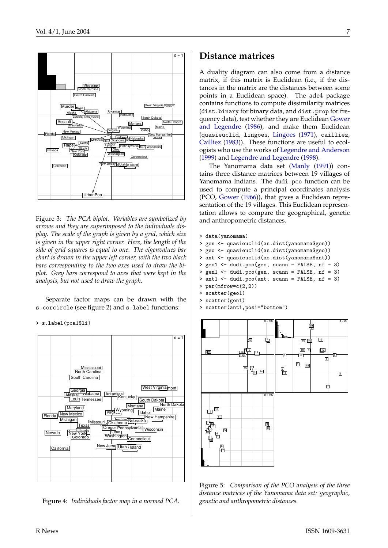<span id="page-6-0"></span>

Figure 3: *The PCA biplot. Variables are symbolized by arrows and they are superimposed to the individuals display. The scale of the graph is given by a grid, which size is given in the upper right corner. Here, the length of the side of grid squares is equal to one. The eigenvalues bar chart is drawn in the upper left corner, with the two black bars corresponding to the two axes used to draw the biplot. Grey bars correspond to axes that were kept in the analysis, but not used to draw the graph.*

Separate factor maps can be drawn with the s.corcircle (see figure 2) and s.label functions:

> s.label(pca1\$li)



Figure 4: *Individuals factor map in a normed PCA.*

#### **Distance matrices**

A duality diagram can also come from a distance matrix, if this matrix is Euclidean (i.e., if the distances in the matrix are the distances between some points in a Euclidean space). The ade4 package contains functions to compute dissimilarity matrices (dist.binary for binary data, and dist.prop for frequency data), test whether they are Euclidean [Gower](#page-8-5) [and Legendre](#page-8-5) [\(1986\)](#page-8-5), and make them Euclidean (quasieuclid, lingoes, [Lingoes](#page-9-4) [\(1971\)](#page-9-4), cailliez, [Cailliez](#page-8-6) [\(1983\)](#page-8-6)). These functions are useful to ecologists who use the works of [Legendre and Anderson](#page-9-5) [\(1999\)](#page-9-5) and [Legendre and Legendre](#page-9-6) [\(1998\)](#page-9-6).

The Yanomama data set [\(Manly](#page-9-7) [\(1991\)](#page-9-7)) contains three distance matrices between 19 villages of Yanomama Indians. The dudi.pco function can be used to compute a principal coordinates analysis (PCO, [Gower](#page-8-7) [\(1966\)](#page-8-7)), that gives a Euclidean representation of the 19 villages. This Euclidean representation allows to compare the geographical, genetic and anthropometric distances.

```
> data(yanomama)
```

```
> gen <- quasieuclid(as.dist(yanomama$gen))
```

```
> geo <- quasieuclid(as.dist(yanomama$geo))
```

```
> ant <- quasieuclid(as.dist(yanomama$ant))
```

```
> geo1 <- dudi.pco(geo, scann = FALSE, nf = 3)
```

```
> gen1 <- dudi.pco(gen, scann = FALSE, nf = 3)
```

```
> ant1 <- dudi.pco(ant, scann = FALSE, nf = 3)
```

```
> par(mfrow=c(2,2))
```

```
> scatter(geo1)
```

```
> scatter(gen1)
> scatter(ant1,posi="bottom")
```


Figure 5: *Comparison of the PCO analysis of the three distance matrices of the Yanomama data set: geographic, genetic and anthropometric distances.*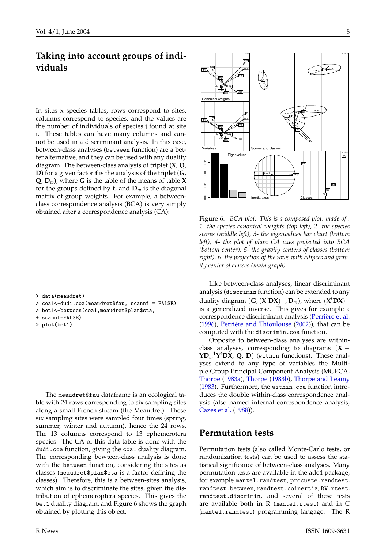# <span id="page-7-0"></span>**Taking into account groups of individuals**

In sites x species tables, rows correspond to sites, columns correspond to species, and the values are the number of individuals of species j found at site i. These tables can have many columns and cannot be used in a discriminant analysis. In this case, between-class analyses (between function) are a better alternative, and they can be used with any duality diagram. The between-class analysis of triplet (**X**, **Q**, **D**) for a given factor **f** is the analysis of the triplet (**G**, **Q**, **D***w*), where **G** is the table of the means of table **X** for the groups defined by  $f$ , and  $D_w$  is the diagonal matrix of group weights. For example, a betweenclass correspondence analysis (BCA) is very simply obtained after a correspondence analysis (CA):

- > data(meaudret)
- > coa1<-dudi.coa(meaudret\$fau, scannf = FALSE)
- > bet1<-between(coa1,meaudret\$plan\$sta,
- + scannf=FALSE)
- > plot(bet1)

The meaudret\$fau dataframe is an ecological table with 24 rows corresponding to six sampling sites along a small French stream (the Meaudret). These six sampling sites were sampled four times (spring, summer, winter and autumn), hence the 24 rows. The 13 columns correspond to 13 ephemerotera species. The CA of this data table is done with the dudi.coa function, giving the coa1 duality diagram. The corresponding bewteen-class analysis is done with the between function, considering the sites as classes (meaudret\$plan\$sta is a factor defining the classes). Therefore, this is a between-sites analysis, which aim is to discriminate the sites, given the distribution of ephemeroptera species. This gives the bet1 duality diagram, and Figure 6 shows the graph obtained by plotting this object.



Figure 6: *BCA plot. This is a composed plot, made of : 1- the species canonical weights (top left), 2- the species scores (middle left), 3- the eigenvalues bar chart (bottom left), 4- the plot of plain CA axes projected into BCA (bottom center), 5- the gravity centers of classes (bottom right), 6- the projection of the rows with ellipses and gravity center of classes (main graph).*

Like between-class analyses, linear discriminant analysis (discrimin function) can be extended to any duality diagram  $(\mathbf{G}, (\mathbf{X}^t \mathbf{D} \mathbf{X})^{\top}, \mathbf{D}_w)$ , where  $(\mathbf{X}^t \mathbf{D} \mathbf{X})^{\top}$ is a generalized inverse. This gives for example a correspondence discriminant analysis [\(Perrière et al.](#page-9-8) [\(1996\)](#page-9-8), [Perrière and Thioulouse](#page-9-9) [\(2002\)](#page-9-9)), that can be computed with the discrimin.coa function.

Opposite to between-class analyses are withinclass analyses, corresponding to diagrams  $(X -$ **YD**<sup> $<sup>−1</sup>$ **Y**<sup>*t*</sup>**DX**, **Q**, **D**) (within functions). These anal-</sup></sup> yses extend to any type of variables the Multiple Group Principal Component Analysis (MGPCA, [Thorpe](#page-9-10) [\(1983a\)](#page-9-10), [Thorpe](#page-9-11) [\(1983b\)](#page-9-11), [Thorpe and Leamy](#page-9-12) [\(1983\)](#page-9-12). Furthermore, the within.coa function introduces the double within-class correspondence analysis (also named internal correspondence analysis, [Cazes et al.](#page-8-8) [\(1988\)](#page-8-8)).

#### **Permutation tests**

Permutation tests (also called Monte-Carlo tests, or randomization tests) can be used to assess the statistical significance of between-class analyses. Many permutation tests are available in the ade4 package, for example mantel.randtest, procuste.randtest, randtest.between, randtest.coinertia, RV.rtest, randtest.discrimin, and several of these tests are available both in R (mantel.rtest) and in C (mantel.randtest) programming langage. The R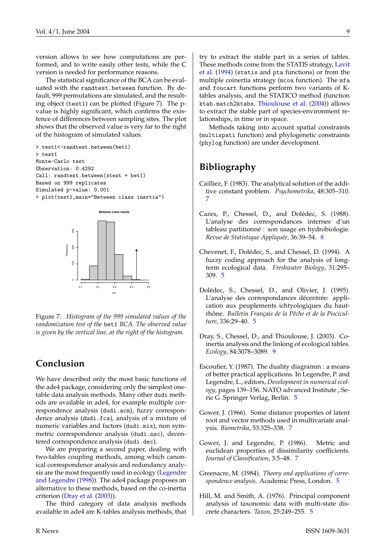<span id="page-8-10"></span>version allows to see how computations are performed, and to write easily other tests, while the C version is needed for performance reasons.

The statistical significance of the BCA can be evaluated with the randtest.between function. By default, 999 permutations are simulated, and the resulting object (test1) can be plotted (Figure 7). The pvalue is highly significant, which confirms the existence of differences between sampling sites. The plot shows that the observed value is very far to the right of the histogram of simulated values.

```
> test1<-randtest.between(bet1)
> test1
Monte-Carlo test
Observation: 0.4292
Call: randtest.between(xtest = bet1)
Based on 999 replicates
Simulated p-value: 0.001
> plot(test1,main="Between class inertia")
```


Figure 7: *Histogram of the 999 simulated values of the randomization test of the* bet1 *BCA. The observed value is given by the vertical line, at the right of the histogram.*

#### **Conclusion**

We have described only the most basic functions of the ade4 package, considering only the simplest onetable data analysis methods. Many other dudi methods are available in ade4, for example multiple correspondence analysis (dudi.acm), fuzzy correspondence analysis (dudi.fca), analysis of a mixture of numeric variables and factors (dudi.mix), non symmetric correspondence analysis (dudi.nsc), decentered correspondence analysis (dudi.dec).

We are preparing a second paper, dealing with two-tables coupling methods, among which canonical correspondence analysis and redundancy analysis are the most frequently used in ecology [\(Legendre](#page-9-6) [and Legendre](#page-9-6) [\(1998\)](#page-9-6)). The ade4 package proposes an alternative to these methods, based on the co-inertia criterion [\(Dray et al.](#page-8-9) [\(2003\)](#page-8-9)).

The third category of data analysis methods available in ade4 are K-tables analysis methods, that try to extract the stable part in a series of tables. These methods come from the STATIS strategy, [Lavit](#page-9-13) [et al.](#page-9-13) [\(1994\)](#page-9-13) (statis and pta functions) or from the multiple coinertia strategy (mcoa function). The mfa and foucart functions perform two variants of Ktables analysis, and the STATICO method (function ktab.match2ktabs, [Thioulouse et al.](#page-9-14) [\(2004\)](#page-9-14)) allows to extract the stable part of species-environment relationships, in time or in space.

Methods taking into account spatial constraints (multispati function) and phylogenetic constraints (phylog function) are under development.

#### **Bibliography**

- <span id="page-8-6"></span>Cailliez, F. (1983). The analytical solution of the additive constant problem. *Psychometrika*, 48:305–310. [7](#page-6-0)
- <span id="page-8-8"></span>Cazes, P., Chessel, D., and Dolédec, S. (1988). L'analyse des correspondances internes d'un tableau partitionné : son usage en hydrobiologie. *Revue de Statistique Appliquée*, 36:39–54. [8](#page-7-0)
- <span id="page-8-2"></span>Chevenet, F., Dolédec, S., and Chessel, D. (1994). A fuzzy coding approach for the analysis of longterm ecological data. *Freshwater Biology*, 31:295– 309. [5](#page-4-1)
- <span id="page-8-4"></span>Dolédec, S., Chessel, D., and Olivier, J. (1995). L'analyse des correspondances décentrée: application aux peuplements ichtyologiques du hautrhône. *Bulletin Français de la Pêche et de la Pisciculture*, 336:29–40. [5](#page-4-1)
- <span id="page-8-9"></span>Dray, S., Chessel, D., and Thioulouse, J. (2003). Coinertia analysis and the linking of ecological tables. *Ecology*, 84:3078–3089. [9](#page-8-10)
- <span id="page-8-0"></span>Escoufier, Y. (1987). The duality diagramm : a means of better practical applications. In Legendre, P. and Legendre, L., editors, *Development in numerical ecology*, pages 139–156. NATO advanced Institute , Serie G .Springer Verlag, Berlin. [5](#page-4-1)
- <span id="page-8-7"></span>Gower, J. (1966). Some distance properties of latent root and vector methods used in multivariate analysis. *Biometrika*, 53:325–338. [7](#page-6-0)
- <span id="page-8-5"></span>Gower, J. and Legendre, P. (1986). Metric and euclidean properties of dissimilarity coefficients. *Journal of Classification*, 3:5–48. [7](#page-6-0)
- <span id="page-8-1"></span>Greenacre, M. (1984). *Theory and applications of correspondence analysis*. Academic Press, London. [5](#page-4-1)
- <span id="page-8-3"></span>Hill, M. and Smith, A. (1976). Principal component analysis of taxonomic data with multi-state discrete characters. *Taxon*, 25:249–255. [5](#page-4-1)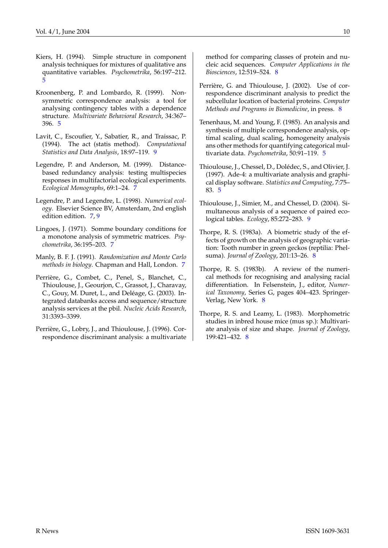- <span id="page-9-2"></span>Kiers, H. (1994). Simple structure in component analysis techniques for mixtures of qualitative ans quantitative variables. *Psychometrika*, 56:197–212. [5](#page-4-1)
- <span id="page-9-3"></span>Kroonenberg, P. and Lombardo, R. (1999). Nonsymmetric correspondence analysis: a tool for analysing contingency tables with a dependence structure. *Multivariate Behavioral Research*, 34:367– 396. [5](#page-4-1)
- <span id="page-9-13"></span>Lavit, C., Escoufier, Y., Sabatier, R., and Traissac, P. (1994). The act (statis method). *Computational Statistics and Data Analysis*, 18:97–119. [9](#page-8-10)
- <span id="page-9-5"></span>Legendre, P. and Anderson, M. (1999). Distancebased redundancy analysis: testing multispecies responses in multifactorial ecological experiments. *Ecological Monographs*, 69:1–24. [7](#page-6-0)
- <span id="page-9-6"></span>Legendre, P. and Legendre, L. (1998). *Numerical ecology*. Elsevier Science BV, Amsterdam, 2nd english edition edition. [7,](#page-6-0) [9](#page-8-10)
- <span id="page-9-4"></span>Lingoes, J. (1971). Somme boundary conditions for a monotone analysis of symmetric matrices. *Psychometrika*, 36:195–203. [7](#page-6-0)
- <span id="page-9-7"></span>Manly, B. F. J. (1991). *Randomization and Monte Carlo methods in biology*. Chapman and Hall, London. [7](#page-6-0)
- Perrière, G., Combet, C., Penel, S., Blanchet, C., Thioulouse, J., Geourjon, C., Grassot, J., Charavay, C., Gouy, M. Duret, L., and Deléage, G. (2003). Integrated databanks access and sequence/structure analysis services at the pbil. *Nucleic Acids Research*, 31:3393–3399.
- <span id="page-9-8"></span>Perrière, G., Lobry, J., and Thioulouse, J. (1996). Correspondence discriminant analysis: a multivariate

method for comparing classes of protein and nucleic acid sequences. *Computer Applications in the Biosciences*, 12:519–524. [8](#page-7-0)

- <span id="page-9-9"></span>Perrière, G. and Thioulouse, J. (2002). Use of correspondence discriminant analysis to predict the subcellular location of bacterial proteins. *Computer Methods and Programs in Biomedicine*, in press. [8](#page-7-0)
- <span id="page-9-1"></span>Tenenhaus, M. and Young, F. (1985). An analysis and synthesis of multiple correspondence analysis, optimal scaling, dual scaling, homogeneity analysis ans other methods for quantifying categorical multivariate data. *Psychometrika*, 50:91–119. [5](#page-4-1)
- <span id="page-9-0"></span>Thioulouse, J., Chessel, D., Dolédec, S., and Olivier, J. (1997). Ade-4: a multivariate analysis and graphical display software. *Statistics and Computing*, 7:75– 83. [5](#page-4-1)
- <span id="page-9-14"></span>Thioulouse, J., Simier, M., and Chessel, D. (2004). Simultaneous analysis of a sequence of paired ecological tables. *Ecology*, 85:272–283. [9](#page-8-10)
- <span id="page-9-10"></span>Thorpe, R. S. (1983a). A biometric study of the effects of growth on the analysis of geographic variation: Tooth number in green geckos (reptilia: Phelsuma). *Journal of Zoology*, 201:13–26. [8](#page-7-0)
- <span id="page-9-11"></span>Thorpe, R. S. (1983b). A review of the numerical methods for recognising and analysing racial differentiation. In Felsenstein, J., editor, *Numerical Taxonomy*, Series G, pages 404–423. Springer-Verlag, New York. [8](#page-7-0)
- <span id="page-9-12"></span>Thorpe, R. S. and Leamy, L. (1983). Morphometric studies in inbred house mice (mus sp.): Multivariate analysis of size and shape. *Journal of Zoology*, 199:421–432. [8](#page-7-0)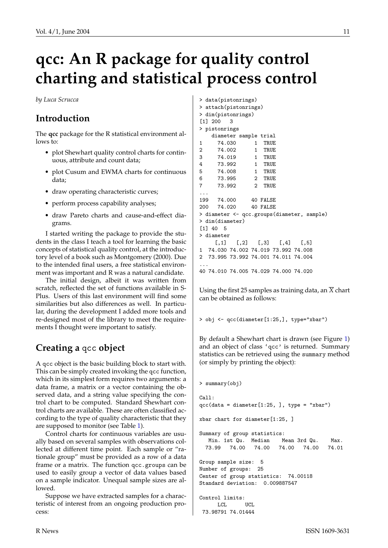# **qcc: An R package for quality control charting and statistical process control**

<span id="page-10-0"></span>*by Luca Scrucca*

# **Introduction**

The **qcc** package for the R statistical environment allows to:

- plot Shewhart quality control charts for continuous, attribute and count data;
- plot Cusum and EWMA charts for continuous data;
- draw operating characteristic curves;
- perform process capability analyses;
- draw Pareto charts and cause-and-effect diagrams.

I started writing the package to provide the students in the class I teach a tool for learning the basic concepts of statistical quality control, at the introductory level of a book such as Montgomery (2000). Due to the intended final users, a free statistical environment was important and R was a natural candidate.

The initial design, albeit it was written from scratch, reflected the set of functions available in S-Plus. Users of this last environment will find some similarities but also differences as well. In particular, during the development I added more tools and re-designed most of the library to meet the requirements I thought were important to satisfy.

# **Creating a** qcc **object**

A qcc object is the basic building block to start with. This can be simply created invoking the qcc function, which in its simplest form requires two arguments: a data frame, a matrix or a vector containing the observed data, and a string value specifying the control chart to be computed. Standard Shewhart control charts are available. These are often classified according to the type of quality characteristic that they are supposed to monitor (see Table [1\)](#page-11-0).

Control charts for continuous variables are usually based on several samples with observations collected at different time point. Each sample or "rationale group" must be provided as a row of a data frame or a matrix. The function qcc.groups can be used to easily group a vector of data values based on a sample indicator. Unequal sample sizes are allowed.

Suppose we have extracted samples for a characteristic of interest from an ongoing production process:

|                |                        | > data(pistonrings)                        |  |  |  |  |  |
|----------------|------------------------|--------------------------------------------|--|--|--|--|--|
|                | > attach(pistonrings)  |                                            |  |  |  |  |  |
|                |                        | > dim(pistonrings)                         |  |  |  |  |  |
|                | [1] 200 3              |                                            |  |  |  |  |  |
|                | > pistonrings          |                                            |  |  |  |  |  |
|                |                        | diameter sample trial                      |  |  |  |  |  |
| $\mathbf{1}$   |                        | 74.030 1 TRUE                              |  |  |  |  |  |
|                |                        | 2 74.002 1 TRUE                            |  |  |  |  |  |
|                |                        | 3 74.019 1 TRUE                            |  |  |  |  |  |
|                |                        | 4 73.992 1 TRUE                            |  |  |  |  |  |
|                |                        | 5 74.008 1 TRUE                            |  |  |  |  |  |
|                |                        | 6 73.995 2 TRUE                            |  |  |  |  |  |
| $\overline{7}$ |                        | 73.992 2 TRUE                              |  |  |  |  |  |
|                |                        |                                            |  |  |  |  |  |
|                |                        | 199 74.000 40 FALSE                        |  |  |  |  |  |
|                |                        | 200 74.020 40 FALSE                        |  |  |  |  |  |
|                |                        | > diameter <- qcc.groups(diameter, sample) |  |  |  |  |  |
|                | > dim(diameter)        |                                            |  |  |  |  |  |
|                | $\lceil 1 \rceil$ 40 5 |                                            |  |  |  |  |  |
|                | > diameter             |                                            |  |  |  |  |  |
|                |                        | $[0,1]$ $[0,2]$ $[0,3]$ $[0,4]$ $[0,5]$    |  |  |  |  |  |
|                |                        | 1 74.030 74.002 74.019 73.992 74.008       |  |  |  |  |  |
|                |                        | 2 73.995 73.992 74.001 74.011 74.004       |  |  |  |  |  |
|                |                        |                                            |  |  |  |  |  |
|                |                        | 40 74.010 74.005 74.029 74.000 74.020      |  |  |  |  |  |

Using the first 25 samples as training data, an  $\overline{X}$  chart can be obtained as follows:

> obj <- qcc(diameter[1:25,], type="xbar")

By default a Shewhart chart is drawn (see Figure [1\)](#page-12-0) and an object of class 'qcc' is returned. Summary statistics can be retrieved using the summary method (or simply by printing the object):

```
> summary(obj)
Call:
qcc(data = diameter[1:25, ], type = "xbar")xbar chart for diameter[1:25, ]
Summary of group statistics:
  Min. 1st Qu. Median Mean 3rd Qu. Max.
 73.99 74.00 74.00 74.00 74.00 74.01
Group sample size: 5
Number of groups: 25
Center of group statistics: 74.00118
Standard deviation: 0.009887547
Control limits:
     LCL UCI.
73.98791 74.01444
```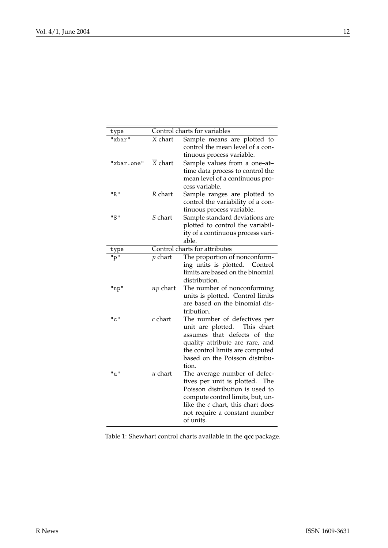<span id="page-11-0"></span>

| type       |                                 | Control charts for variables                                          |
|------------|---------------------------------|-----------------------------------------------------------------------|
| "xbar"     | $\overline{\overline{X}}$ chart | Sample means are plotted to<br>control the mean level of a con-       |
|            |                                 | tinuous process variable.                                             |
| "xbar.one" | $\overline{X}$ chart            | Sample values from a one-at-                                          |
|            |                                 | time data process to control the                                      |
|            |                                 | mean level of a continuous pro-                                       |
|            |                                 | cess variable.                                                        |
| "R"        | R chart                         | Sample ranges are plotted to                                          |
|            |                                 | control the variability of a con-                                     |
|            |                                 | tinuous process variable.                                             |
| "S"        | S chart                         | Sample standard deviations are                                        |
|            |                                 | plotted to control the variabil-<br>ity of a continuous process vari- |
|            |                                 | able.                                                                 |
| type       |                                 | Control charts for attributes                                         |
| "p"        | $p$ chart                       | The proportion of nonconform-                                         |
|            |                                 | ing units is plotted. Control                                         |
|            |                                 | limits are based on the binomial                                      |
|            |                                 | distribution.                                                         |
| "np"       | np chart                        | The number of nonconforming                                           |
|            |                                 | units is plotted. Control limits                                      |
|            |                                 | are based on the binomial dis-                                        |
|            |                                 | tribution.                                                            |
| "c"        | $c$ chart                       | The number of defectives per                                          |
|            |                                 | unit are plotted.<br>This chart                                       |
|            |                                 | assumes that defects of<br>the                                        |
|            |                                 | quality attribute are rare, and<br>the control limits are computed    |
|            |                                 | based on the Poisson distribu-                                        |
|            |                                 | tion.                                                                 |
| "ս"        | $u$ chart                       | The average number of defec-                                          |
|            |                                 | tives per unit is plotted. The                                        |
|            |                                 | Poisson distribution is used to                                       |
|            |                                 | compute control limits, but, un-                                      |
|            |                                 | like the $c$ chart, this chart does                                   |
|            |                                 | not require a constant number                                         |
|            |                                 | of units.                                                             |

Table 1: Shewhart control charts available in the **qcc** package.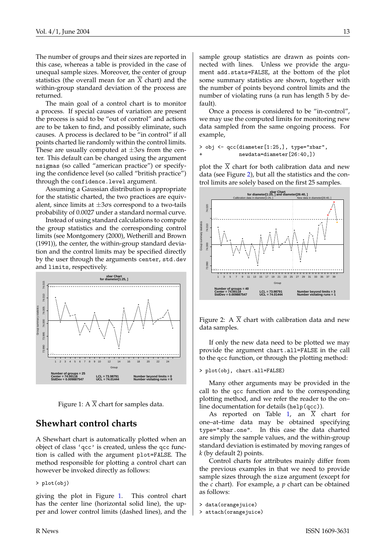The number of groups and their sizes are reported in this case, whereas a table is provided in the case of unequal sample sizes. Moreover, the center of group statistics (the overall mean for an  $\overline{X}$  chart) and the within-group standard deviation of the process are returned.

The main goal of a control chart is to monitor a process. If special causes of variation are present the process is said to be "out of control" and actions are to be taken to find, and possibly eliminate, such causes. A process is declared to be "in control" if all points charted lie randomly within the control limits. These are usually computed at  $\pm 3\sigma s$  from the center. This default can be changed using the argument nsigmas (so called "american practice") or specifying the confidence level (so called "british practice") through the confidence.level argument.

Assuming a Gaussian distribution is appropriate for the statistic charted, the two practices are equivalent, since limits at  $\pm 3\sigma s$  correspond to a two-tails probability of 0.0027 under a standard normal curve.

Instead of using standard calculations to compute the group statistics and the corresponding control limits (see Montgomery (2000), Wetherill and Brown (1991)), the center, the within-group standard deviation and the control limits may be specified directly by the user through the arguments center, std.dev and limits, respectively.



<span id="page-12-0"></span>Figure 1: A  $\overline{X}$  chart for samples data.

#### **Shewhart control charts**

A Shewhart chart is automatically plotted when an object of class 'qcc' is created, unless the qcc function is called with the argument plot=FALSE. The method responsible for plotting a control chart can however be invoked directly as follows:

> plot(obj)

giving the plot in Figure [1.](#page-12-0) This control chart has the center line (horizontal solid line), the upper and lower control limits (dashed lines), and the sample group statistics are drawn as points connected with lines. Unless we provide the argument add.stats=FALSE, at the bottom of the plot some summary statistics are shown, together with the number of points beyond control limits and the number of violating runs (a run has length 5 by default).

Once a process is considered to be "in-control", we may use the computed limits for monitoring new data sampled from the same ongoing process. For example,

> obj <- qcc(diameter[1:25,], type="xbar", newdata=diameter[26:40,])

plot the  $\overline{X}$  chart for both calibration data and new data (see Figure [2\)](#page-12-1), but all the statistics and the control limits are solely based on the first 25 samples.



<span id="page-12-1"></span>Figure 2: A  $\overline{X}$  chart with calibration data and new data samples.

If only the new data need to be plotted we may provide the argument chart.all=FALSE in the call to the qcc function, or through the plotting method:

#### > plot(obj, chart.all=FALSE)

Many other arguments may be provided in the call to the qcc function and to the corresponding plotting method, and we refer the reader to the on– line documentation for details (help(qcc)).

As reported on Table [1,](#page-11-0) an  $\overline{X}$  chart for one–at–time data may be obtained specifying type="xbar.one". In this case the data charted are simply the sample values, and the within-group standard deviation is estimated by moving ranges of *k* (by default 2) points.

Control charts for attributes mainly differ from the previous examples in that we need to provide sample sizes through the size argument (except for the *c* chart). For example, a *p* chart can be obtained as follows:

```
> data(orangejuice)
```

```
> attach(orangejuice)
```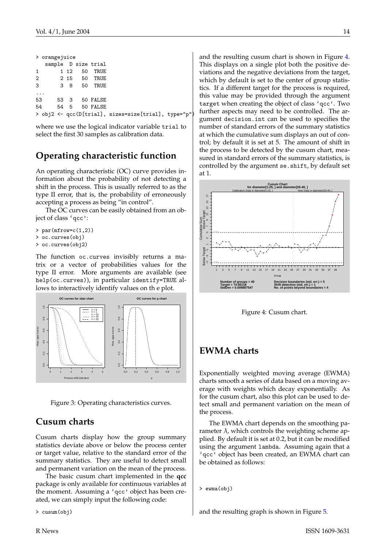|                | > orangejuice |    |      |         |                     |                                                      |  |
|----------------|---------------|----|------|---------|---------------------|------------------------------------------------------|--|
|                |               |    |      |         | sample D size trial |                                                      |  |
| $\mathbf{1}$   |               |    | 1 12 | - 50    | TRUE                |                                                      |  |
| $\overline{2}$ |               |    |      | 2 15 50 | TRUE                |                                                      |  |
| 3              |               | 38 |      | 50      | TRUE                |                                                      |  |
|                |               |    |      |         |                     |                                                      |  |
|                | 53            |    |      |         | 53 3 50 FALSE       |                                                      |  |
| 54             |               |    |      |         | 54 5 50 FALSE       |                                                      |  |
|                |               |    |      |         |                     | > obj2 <- qcc(D[trial], sizes=size[trial], type="p") |  |
|                |               |    |      |         |                     |                                                      |  |

where we use the logical indicator variable trial to select the first 30 samples as calibration data.

#### **Operating characteristic function**

An operating characteristic (OC) curve provides information about the probability of not detecting a shift in the process. This is usually referred to as the type II error, that is, the probability of erroneously accepting a process as being "in control".

The OC curves can be easily obtained from an object of class 'qcc':

- > par(mfrow=c(1,2))
- > oc.curves(obj)
- > oc.curves(obj2)

The function oc.curves invisibly returns a matrix or a vector of probabilities values for the type II error. More arguments are available (see help(oc.curves)), in particular identify=TRUE allows to interactively identify values on th e plot.



Figure 3: Operating characteristics curves.

#### **Cusum charts**

Cusum charts display how the group summary statistics deviate above or below the process center or target value, relative to the standard error of the summary statistics. They are useful to detect small and permanent variation on the mean of the process.

The basic cusum chart implemented in the **qcc** package is only available for continuous variables at the moment. Assuming a 'qcc' object has been created, we can simply input the following code:

> cusum(obj)

and the resulting cusum chart is shown in Figure [4.](#page-13-0) This displays on a single plot both the positive deviations and the negative deviations from the target, which by default is set to the center of group statistics. If a different target for the process is required, this value may be provided through the argument target when creating the object of class 'qcc'. Two further aspects may need to be controlled. The argument decision.int can be used to specifies the number of standard errors of the summary statistics at which the cumulative sum displays an out of control; by default it is set at 5. The amount of shift in the process to be detected by the cusum chart, measured in standard errors of the summary statistics, is controlled by the argument se.shift, by default set at 1.



<span id="page-13-0"></span>Figure 4: Cusum chart.

#### **EWMA charts**

Exponentially weighted moving average (EWMA) charts smooth a series of data based on a moving average with weights which decay exponentially. As for the cusum chart, also this plot can be used to detect small and permanent variation on the mean of the process.

The EWMA chart depends on the smoothing parameter  $\lambda$ , which controls the weighting scheme applied. By default it is set at 0.2, but it can be modified using the argument lambda. Assuming again that a 'qcc' object has been created, an EWMA chart can be obtained as follows:

```
> ewma(obj)
```
and the resulting graph is shown in Figure [5.](#page-14-0)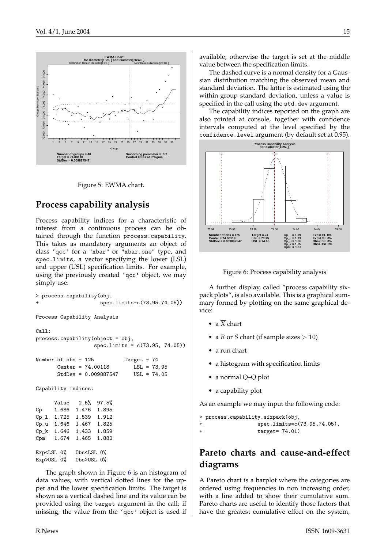

Figure 5: EWMA chart.

## <span id="page-14-0"></span>**Process capability analysis**

Process capability indices for a characteristic of interest from a continuous process can be obtained through the function process.capability. This takes as mandatory arguments an object of class 'qcc' for a "xbar" or "xbar.one" type, and spec.limits, a vector specifying the lower (LSL) and upper (USL) specification limits. For example, using the previously created 'qcc' object, we may simply use:

```
> process.capability(obj,
                       spec.limits=c(73.95,74.05))
Process Capability Analysis
Call:
process.capability(object = obj,
                     spec.limits = c(73.95, 74.05))
Number of obs = 125 Target = 74
       Center = 74.00118 LSL = 73.95<br>StdDev = 0.009887547 USL = 74.05
       StdDev = 0.009887547Capability indices:
      Value 2.5% 97.5%
Cp 1.686 1.476 1.895
Cp<sub>-</sub>1 1.725 1.539 1.912<br>Cp<sub>-</sub>u 1.646 1.467 1.825
             1.467 1.825
Cp_k 1.646 1.433 1.859
Cpm 1.674 1.465 1.882
Exp<LSL 0% Obs<LSL 0%
Exp>USL 0% Obs>USL 0%
```
The graph shown in Figure [6](#page-14-1) is an histogram of data values, with vertical dotted lines for the upper and the lower specification limits. The target is shown as a vertical dashed line and its value can be provided using the target argument in the call; if missing, the value from the 'qcc' object is used if

available, otherwise the target is set at the middle value between the specification limits.

The dashed curve is a normal density for a Gaussian distribution matching the observed mean and standard deviation. The latter is estimated using the within-group standard deviation, unless a value is specified in the call using the std.dev argument.

The capability indices reported on the graph are also printed at console, together with confidence intervals computed at the level specified by the confidence.level argument (by default set at 0.95).



<span id="page-14-1"></span>

A further display, called "process capability sixpack plots", is also available. This is a graphical summary formed by plotting on the same graphical device:

- a  $\overline{X}$  chart
- a *R* or *S* chart (if sample sizes  $> 10$ )
- a run chart
- a histogram with specification limits
- a normal Q–Q plot
- a capability plot

As an example we may input the following code:

```
> process.capability.sixpack(obj,
+ spec.limits=c(73.95,74.05),
+ target= 74.01)
```
# **Pareto charts and cause-and-effect diagrams**

A Pareto chart is a barplot where the categories are ordered using frequencies in non increasing order, with a line added to show their cumulative sum. Pareto charts are useful to identify those factors that have the greatest cumulative effect on the system,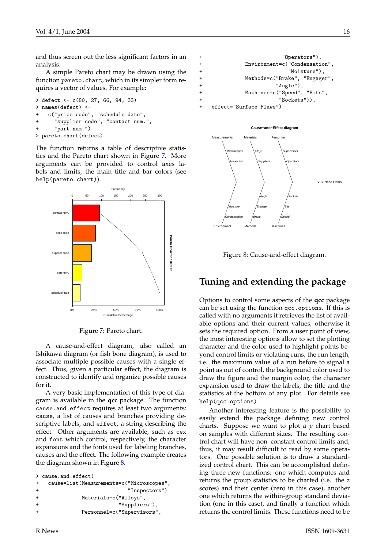and thus screen out the less significant factors in an analysis.

A simple Pareto chart may be drawn using the function pareto.chart, which in its simpler form requires a vector of values. For example:

> defect <- c(80, 27, 66, 94, 33) > names(defect) < c("price code", "schedule date", "supplier code", "contact num.", + "part num.") > pareto.chart(defect)

The function returns a table of descriptive statistics and the Pareto chart shown in Figure [7.](#page-15-0) More arguments can be provided to control axes labels and limits, the main title and bar colors (see help(pareto.chart)).



Figure 7: Pareto chart.

A cause-and-effect diagram, also called an Ishikawa diagram (or fish bone diagram), is used to associate multiple possible causes with a single effect. Thus, given a particular effect, the diagram is constructed to identify and organize possible causes for it.

A very basic implementation of this type of diagram is available in the **qcc** package. The function cause.and.effect requires at least two arguments: cause, a list of causes and branches providing descriptive labels, and effect, a string describing the effect. Other arguments are available, such as cex and font which control, respectively, the character expansions and the fonts used for labeling branches, causes and the effect. The following example creates the diagram shown in Figure [8.](#page-15-1)

```
> cause.and.effect(
+ cause=list(Measurements=c("Microscopes",
+ "Inspectors")
+ Materials=c("Alloys",
+ "Suppliers"),
+ Personnel=c("Supervisors",
```

```
"Operators"),
         Environment=c("Condensation",
+ "Moisture"),
+ Methods=c("Brake", "Engager",
+ "Angle"),
+ Machines=c("Speed", "Bits",
+ "Sockets")),
+ effect="Surface Flaws")
```




<span id="page-15-1"></span>Figure 8: Cause-and-effect diagram.

# **Tuning and extending the package**

<span id="page-15-0"></span>Options to control some aspects of the **qcc** package can be set using the function qcc.options. If this is called with no arguments it retrieves the list of available options and their current values, otherwise it sets the required option. From a user point of view, the most interesting options allow to set the plotting character and the color used to highlight points beyond control limits or violating runs, the run length, i.e. the maximum value of a run before to signal a point as out of control, the background color used to draw the figure and the margin color, the character expansion used to draw the labels, the title and the statistics at the bottom of any plot. For details see help(qcc.options).

Another interesting feature is the possibility to easily extend the package defining new control charts. Suppose we want to plot a *p* chart based on samples with different sizes. The resulting control chart will have non–constant control limits and, thus, it may result difficult to read by some operators. One possible solution is to draw a standardized control chart. This can be accomplished defining three new functions: one which computes and returns the group statistics to be charted (i.e. the *z* scores) and their center (zero in this case), another one which returns the within-group standard deviation (one in this case), and finally a function which returns the control limits. These functions need to be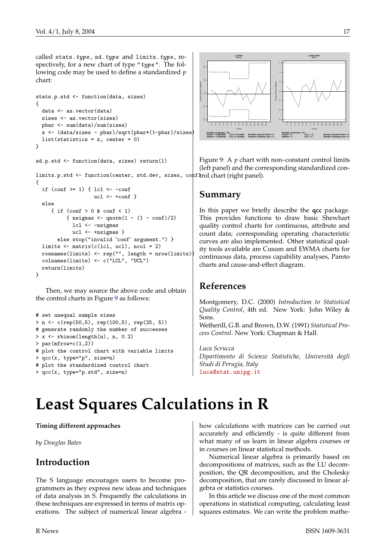called stats.type, sd.type and limits.type, respectively, for a new chart of type " $type$ ". The following code may be used to define a standardized *p* chart:

```
stats.p.std <- function(data, sizes)
{
  data <- as.vector(data)
  sizes <- as.vector(sizes)
  pbar <- sum(data)/sum(sizes)
  z <- (data/sizes - pbar)/sqrt(pbar*(1-pbar)/sizes)
  list(statistics = z, center = 0)
}
```
sd.p.std <- function(data, sizes) return(1)

limits.p.std <- function(center, std.dev, sizes, conf)trol chart(right panel). {

```
if (\text{conf} >= 1) { \text{lcl} < -\text{conf}ucl \leftarrow +conf }
  else
     { if (conf > 0 & conf < 1)
           { nsigmas \leftarrow qnorm(1 - (1 - \text{conf})/2)lcl <- -nsigmas
             ucl <- +nsigmas }
        else stop("invalid 'conf' argument.") }
  limits \leq matrix(c(lcl, ucl), ncol = 2)
  rownames(limits) <- rep("", length = nrow(limits))
  colnames(limits) <- c("LCL", "UCL")
  return(limits)
}
```
Then, we may source the above code and obtain the control charts in Figure [9](#page-16-1) as follows:

```
# set unequal sample sizes
> n <- c(rep(50,5), rep(100,5), rep(25, 5))
# generate randomly the number of successes
> x \leftarrow \text{rbinom}(\text{length}(n), n, 0.2)> par(mfrow=c(1,2))# plot the control chart with variable limits
> qcc(x, type="p", size=n)
# plot the standardized control chart
> qcc(x, type="p.std", size=n)
```


<span id="page-16-1"></span>Figure 9: A *p* chart with non–constant control limits (left panel) and the corresponding standardized con-

#### **Summary**

In this paper we briefly describe the **qcc** package. This provides functions to draw basic Shewhart quality control charts for continuous, attribute and count data; corresponding operating characteristic curves are also implemented. Other statistical quality tools available are Cusum and EWMA charts for continuous data, process capability analyses, Pareto charts and cause-and-effect diagram.

#### **References**

Montgomery, D.C. (2000) *Introduction to Statistical Quality Control*, 4th ed. New York: John Wiley & Sons.

Wetherill, G.B. and Brown, D.W. (1991) *Statistical Process Control*. New York: Chapman & Hall.

*Luca Scrucca Dipartimento di Scienze Statistiche, Università degli Studi di Perugia, Italy* [luca@stat.unipg.it](mailto:luca@stat.unipg.it)

# **Least Squares Calculations in R**

<span id="page-16-0"></span>**Timing different approaches**

*by Douglas Bates*

### **Introduction**

The S language encourages users to become programmers as they express new ideas and techniques of data analysis in S. Frequently the calculations in these techniques are expressed in terms of matrix operations. The subject of numerical linear algebra -

how calculations with matrices can be carried out accurately and efficiently - is quite different from what many of us learn in linear algebra courses or in courses on linear statistical methods.

Numerical linear algebra is primarily based on decompositions of matrices, such as the LU decomposition, the QR decomposition, and the Cholesky decomposition, that are rarely discussed in linear algebra or statistics courses.

In this article we discuss one of the most common operations in statistical computing, calculating least squares estimates. We can write the problem mathe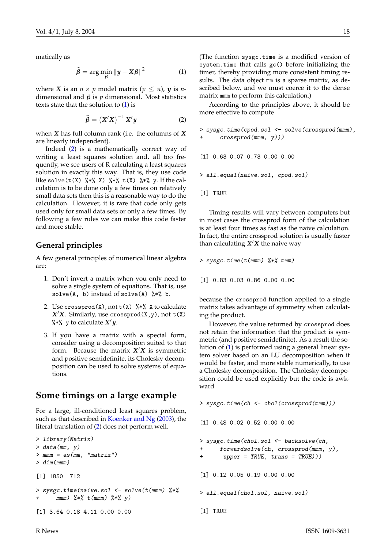<span id="page-17-2"></span>matically as

<span id="page-17-0"></span>
$$
\widehat{\beta} = \arg\min_{\beta} \|y - X\beta\|^2 \tag{1}
$$

where *X* is an  $n \times p$  model matrix ( $p \leq n$ ), *y* is *n*dimensional and  $β$  is  $p$  dimensional. Most statistics texts state that the solution to [\(1\)](#page-17-0) is

<span id="page-17-1"></span>
$$
\widehat{\beta} = \left( X'X \right)^{-1} X'y \tag{2}
$$

when *X* has full column rank (i.e. the columns of *X* are linearly independent).

Indeed [\(2\)](#page-17-1) is a mathematically correct way of writing a least squares solution and, all too frequently, we see users of R calculating a least squares solution in exactly this way. That is, they use code like solve(t(X)  $\frac{1}{2}$   $\frac{1}{2}$   $\frac{1}{2}$   $\frac{1}{2}$   $\frac{1}{2}$   $\frac{1}{2}$   $\frac{1}{2}$   $\frac{1}{2}$   $\frac{1}{2}$   $\frac{1}{2}$   $\frac{1}{2}$   $\frac{1}{2}$   $\frac{1}{2}$   $\frac{1}{2}$   $\frac{1}{2}$   $\frac{1}{2}$   $\frac{1}{2}$   $\frac{1}{2}$   $\frac{1}{2}$   $\frac{1}{2}$   $\frac{1$ culation is to be done only a few times on relatively small data sets then this is a reasonable way to do the calculation. However, it is rare that code only gets used only for small data sets or only a few times. By following a few rules we can make this code faster and more stable.

#### **General principles**

A few general principles of numerical linear algebra are:

- 1. Don't invert a matrix when you only need to solve a single system of equations. That is, use  $solve(A, b)$  instead of  $solve(A)$  %\*% b.
- 2. Use crossprod(X), not  $t(X)$  %\*% X to calculate  $X'X$ . Similarly, use crossprod(X,y), not  $t(X)$ %\*% y to calculate  $X'y$ .
- 3. If you have a matrix with a special form, consider using a decomposition suited to that form. Because the matrix  $X'X$  is symmetric and positive semidefinite, its Cholesky decomposition can be used to solve systems of equations.

#### **Some timings on a large example**

For a large, ill-conditioned least squares problem, such as that described in [Koenker and Ng](#page-19-1) [\(2003\)](#page-19-1), the literal translation of [\(2\)](#page-17-1) does not perform well.

```
> library(Matrix)
> data(mm, y)
> mmm = as(mm, "matrix")
> dim(mm)[1] 1850 712
> sysgc.time(naive.sol <- solve(t(mmm) %*%
     mmm) %*% t(mmm) %*% y)
[1] 3.64 0.18 4.11 0.00 0.00
```
(The function sysgc.time is a modified version of system.time that calls gc() before initializing the timer, thereby providing more consistent timing results. The data object mm is a sparse matrix, as described below, and we must coerce it to the dense matrix mmm to perform this calculation.)

According to the principles above, it should be more effective to compute

> sysgc.time(cpod.sol <- solve(crossprod(mmm),  $crossprod(mm, y)))$ 

[1] 0.63 0.07 0.73 0.00 0.00

> all.equal(naive.sol, cpod.sol)

```
[1] TRUE
```
Timing results will vary between computers but in most cases the crossprod form of the calculation is at least four times as fast as the naive calculation. In fact, the entire crossprod solution is usually faster than calculating  $X'X$  the naive way

> sysgc.time(t(mmm) %\*% mmm)

[1] 0.83 0.03 0.86 0.00 0.00

because the crossprod function applied to a single matrix takes advantage of symmetry when calculating the product.

However, the value returned by crossprod does not retain the information that the product is symmetric (and positive semidefinite). As a result the solution of [\(1\)](#page-17-0) is performed using a general linear system solver based on an LU decomposition when it would be faster, and more stable numerically, to use a Cholesky decomposition. The Cholesky decomposition could be used explicitly but the code is awkward

```
> sysgc.time(ch <- chol(crossprod(mmm)))
```

```
[1] 0.48 0.02 0.52 0.00 0.00
```

```
> sysgc.time(chol.sol <- backsolve(ch,
     forwardsolve(ch, crossprod(mm, y),
```

```
upper = TRUE, trans = TRUE))
```
[1] 0.12 0.05 0.19 0.00 0.00

```
> all.equal(chol.sol, naive.sol)
```

```
[1] TRUE
```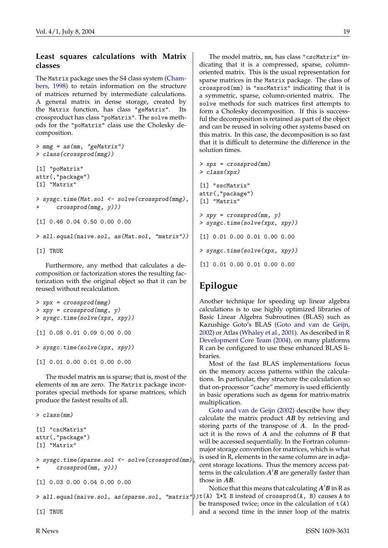#### <span id="page-18-0"></span>**Least squares calculations with Matrix classes**

The Matrix package uses the S4 class system [\(Cham](#page-19-2)[bers,](#page-19-2) [1998\)](#page-19-2) to retain information on the structure of matrices returned by intermediate calculations. A general matrix in dense storage, created by the Matrix function, has class "geMatrix". Its crossproduct has class "poMatrix". The solve methods for the "poMatrix" class use the Cholesky decomposition.

```
> mmg = as(mm, "geMatrix")
> class(crossprod(mmg))
[1] "poMatrix"
attr(,"package")
[1] "Matrix"
> sysgc.time(Mat.sol <- solve(crossprod(mmg),
      crossprod(mmg, y)))[1] 0.46 0.04 0.50 0.00 0.00
> all.equal(naive.sol, as(Mat.sol, "matrix"))
```
[1] TRUE

Furthermore, any method that calculates a decomposition or factorization stores the resulting factorization with the original object so that it can be reused without recalculation.

```
> xpx = crossprod(mmg)
> xpy = crossprod(mmg, y)
> sysgc.time(solve(xpx, xpy))
[1] 0.08 0.01 0.09 0.00 0.00
> sysgc.time(solve(xpx, xpy))
[1] 0.01 0.00 0.01 0.00 0.00
```
The model matrix mm is sparse; that is, most of the elements of mm are zero. The Matrix package incorporates special methods for sparse matrices, which produce the fastest results of all.

```
> class(mm)
[1] "cscMatrix"
attr(,"package")
[1] "Matrix"
> sysgc.time(sparse.sol <- solve(crossprod(mm),
      crossprod(mm, y)))[1] 0.03 0.00 0.04 0.00 0.00
> all.equal(naive.sol, as(sparse.sol, "matrix"))
t(A) %*% B instead of crossprod(A, B) causes A to
[1] TRUE
```
The model matrix, mm, has class "cscMatrix" indicating that it is a compressed, sparse, columnoriented matrix. This is the usual representation for sparse matrices in the Matrix package. The class of crossprod(mm) is "sscMatrix" indicating that it is a symmetric, sparse, column-oriented matrix. The solve methods for such matrices first attempts to form a Cholesky decomposition. If this is successful the decomposition is retained as part of the object and can be reused in solving other systems based on this matrix. In this case, the decomposition is so fast that it is difficult to determine the difference in the solution times.

```
> xpx = crossprod(mm)
> class(xpx)
[1] "sscMatrix"
attr(,"package")
[1] "Matrix"
> xpy = crossprod(mm, y)> sysgc.time(solve(xpx, xpy))
[1] 0.01 0.00 0.01 0.00 0.00
> sysgc.time(solve(xpx, xpy))
[1] 0.01 0.00 0.01 0.00 0.00
```
# **Epilogue**

Another technique for speeding up linear algebra calculations is to use highly optimized libraries of Basic Linear Algebra Subroutines (BLAS) such as Kazushige Goto's BLAS [\(Goto and van de Geijn,](#page-19-3) [2002\)](#page-19-3) or Atlas [\(Whaley et al.,](#page-19-4) [2001\)](#page-19-4). As described in [R](#page-19-5) [Development Core Team](#page-19-5) [\(2004\)](#page-19-5), on many platforms R can be configured to use these enhanced BLAS libraries.

Most of the fast BLAS implementations focus on the memory access patterns within the calculations. In particular, they structure the calculation so that on-processor "cache" memory is used efficiently in basic operations such as dgemm for matrix-matrix multiplication.

[Goto and van de Geijn](#page-19-3) [\(2002\)](#page-19-3) describe how they calculate the matrix product *AB* by retrieving and storing parts of the transpose of *A*. In the product it is the rows of *A* and the columns of *B* that will be accessed sequentially. In the Fortran columnmajor storage convention for matrices, which is what is used in R, elements in the same column are in adjacent storage locations. Thus the memory access patterns in the calculation  $A'B$  are generally faster than those in *AB*.

Notice that this means that calculating  $A'B$  in R as be transposed twice; once in the calculation of  $t(A)$ and a second time in the inner loop of the matrix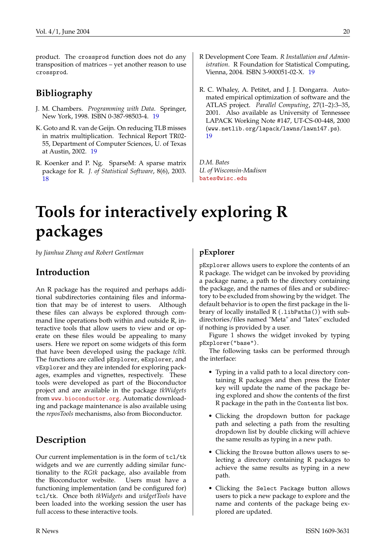product. The crossprod function does not do any transposition of matrices – yet another reason to use crossprod.

# **Bibliography**

- <span id="page-19-2"></span>J. M. Chambers. *Programming with Data*. Springer, New York, 1998. ISBN 0-387-98503-4. [19](#page-18-0)
- <span id="page-19-3"></span>K. Goto and R. van de Geijn. On reducing TLB misses in matrix multiplication. Technical Report TR02- 55, Department of Computer Sciences, U. of Texas at Austin, 2002. [19](#page-18-0)
- <span id="page-19-1"></span>R. Koenker and P. Ng. SparseM: A sparse matrix package for R. *J. of Statistical Software*, 8(6), 2003. [18](#page-17-2)
- <span id="page-19-5"></span>R Development Core Team. *R Installation and Administration*. R Foundation for Statistical Computing, Vienna, 2004. ISBN 3-900051-02-X. [19](#page-18-0)
- <span id="page-19-4"></span>R. C. Whaley, A. Petitet, and J. J. Dongarra. Automated empirical optimization of software and the ATLAS project. *Parallel Computing*, 27(1–2):3–35, 2001. Also available as University of Tennessee LAPACK Working Note #147, UT-CS-00-448, 2000 (www.netlib.org/lapack/lawns/lawn147.ps). [19](#page-18-0)

*D.M. Bates U. of Wisconsin-Madison* [bates@wisc.edu](mailto:bates@wisc.edu)

# **Tools for interactively exploring R packages**

<span id="page-19-0"></span>*by Jianhua Zhang and Robert Gentleman*

## **Introduction**

An R package has the required and perhaps additional subdirectories containing files and information that may be of interest to users. Although these files can always be explored through command line operations both within and outside R, interactive tools that allow users to view and or operate on these files would be appealing to many users. Here we report on some widgets of this form that have been developed using the package *tcltk*. The functions are called pExplorer, eExplorer, and vExplorer and they are intended for exploring packages, examples and vignettes, respectively. These tools were developed as part of the Bioconductor project and are available in the package *tkWidgets* from <www.bioconductor.org>. Automatic downloading and package maintenance is also available using the *reposTools* mechanisms, also from Bioconductor.

# **Description**

Our current implementation is in the form of tcl/tk widgets and we are currently adding similar functionality to the *RGtk* package, also available from the Bioconductor website. Users must have a functioning implementation (and be configured for) tcl/tk. Once both *tkWidgets* and *widgetTools* have been loaded into the working session the user has full access to these interactive tools.

#### **pExplorer**

pExplorer allows users to explore the contents of an R package. The widget can be invoked by providing a package name, a path to the directory containing the package, and the names of files and or subdirectory to be excluded from showing by the widget. The default behavior is to open the first package in the library of locally installed R (.1ibPaths()) with subdirectories/files named "Meta" and "latex" excluded if nothing is provided by a user.

Figure 1 shows the widget invoked by typing pExplorer("base").

The following tasks can be performed through the interface:

- Typing in a valid path to a local directory containing R packages and then press the Enter key will update the name of the package being explored and show the contents of the first R package in the path in the Contents list box.
- Clicking the dropdown button for package path and selecting a path from the resulting dropdown list by double clicking will achieve the same results as typing in a new path.
- Clicking the Browse button allows users to selecting a directory containing R packages to achieve the same results as typing in a new path.
- Clicking the Select Package button allows users to pick a new package to explore and the name and contents of the package being explored are updated.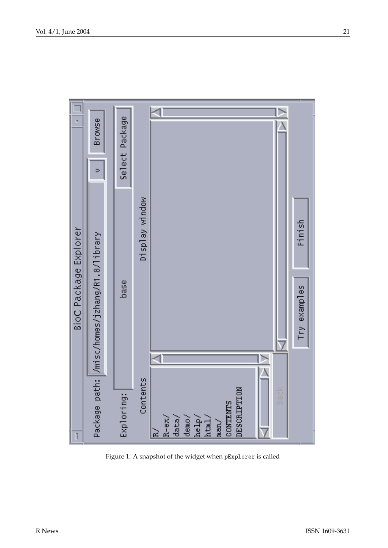

Figure 1: A snapshot of the widget when pExplorer is called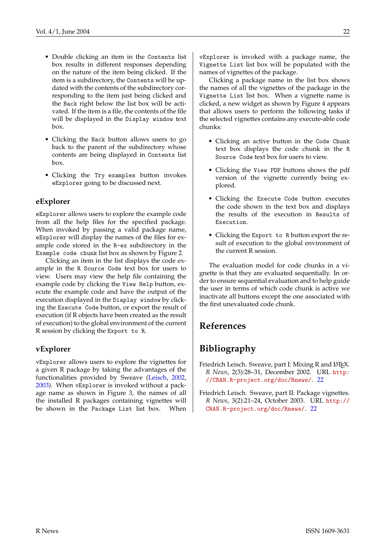- <span id="page-21-2"></span>• Double clicking an item in the Contents list box results in different responses depending on the nature of the item being clicked. If the item is a subdirectory, the Contents will be updated with the contents of the subdirectory corresponding to the item just being clicked and the Back right below the list box will be activated. If the item is a file, the contents of the file will be displayed in the Display window text box.
- Clicking the Back button allows users to go back to the parent of the subdirectory whose contents are being displayed in Contents list box.
- Clicking the Try examples button invokes eExplorer going to be discussed next.

#### **eExplorer**

eExplorer allows users to explore the example code from all the help files for the specified package. When invoked by passing a valid package name, eExplorer will display the names of the files for example code stored in the R-ex subdirectory in the Example code chunk list box as shown by Figure 2.

Clicking an item in the list displays the code example in the R Source Code text box for users to view. Users may view the help file containing the example code by clicking the View Help button, execute the example code and have the output of the execution displayed in the Diaplay window by clicking the Execute Code button, or export the result of execution (if R objects have been created as the result of execution) to the global environment of the current R session by clicking the Export to R.

#### **vExplorer**

vExplorer allows users to explore the vignettes for a given R package by taking the advantages of the functionalities provided by Sweave [\(Leisch,](#page-21-0) [2002,](#page-21-0) [2003\)](#page-21-1). When vExplorer is invoked without a package name as shown in Figure 3, the names of all the installed R packages containing vignettes will be shown in the Package List list box. When

vExplorer is invoked with a package name, the Vignette List list box will be populated with the names of vignettes of the package.

Clicking a package name in the list box shows the names of all the vignettes of the package in the Vignette List list box. When a vignette name is clicked, a new widget as shown by Figure 4 appears that allows users to perform the following tasks if the selected vignettes contains any execute-able code chunks:

- Clicking an active button in the Code Chunk text box displays the code chunk in the R Source Code text box for users to view.
- Clicking the View PDF buttons shows the pdf version of the vignette currently being explored.
- Clicking the Execute Code button executes the code shown in the text box and displays the results of the execution in Results of Execution.
- Clicking the Export to R button export the result of execution to the global environment of the current R session.

The evaluation model for code chunks in a vignette is that they are evaluated sequentially. In order to ensure sequential evaluation and to help guide the user in terms of which code chunk is active we inactivate all buttons except the one associated with the first unevaluated code chunk.

#### **References**

### **Bibliography**

- <span id="page-21-0"></span>Friedrich Leisch. Sweave, part I: Mixing R and LATEX. *R News*, 2(3):28–31, December 2002. URL [http:](http://CRAN.R-project.org/doc/Rnews/) [//CRAN.R-project.org/doc/Rnews/](http://CRAN.R-project.org/doc/Rnews/). [22](#page-21-2)
- <span id="page-21-1"></span>Friedrich Leisch. Sweave, part II: Package vignettes. *R News*, 3(2):21–24, October 2003. URL [http://](http://CRAN.R-project.org/doc/Rnews/) [CRAN.R-project.org/doc/Rnews/](http://CRAN.R-project.org/doc/Rnews/). [22](#page-21-2)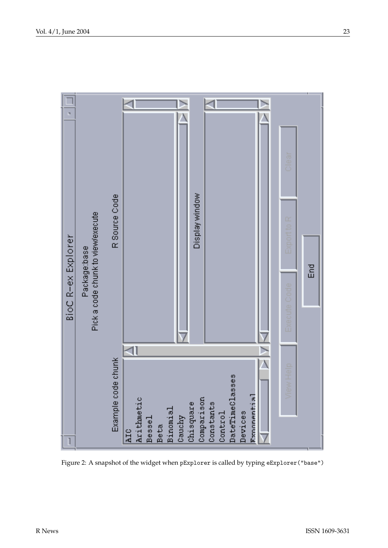

Figure 2: A snapshot of the widget when pExplorer is called by typing eExplorer("base")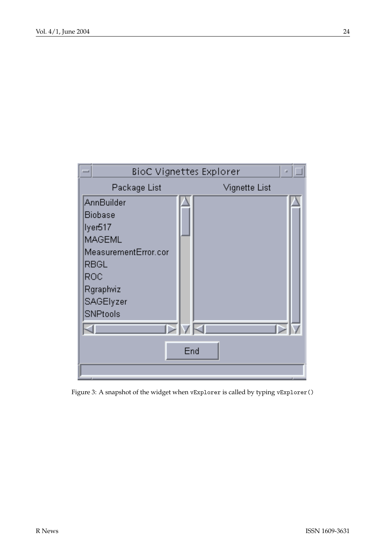

Figure 3: A snapshot of the widget when vExplorer is called by typing vExplorer()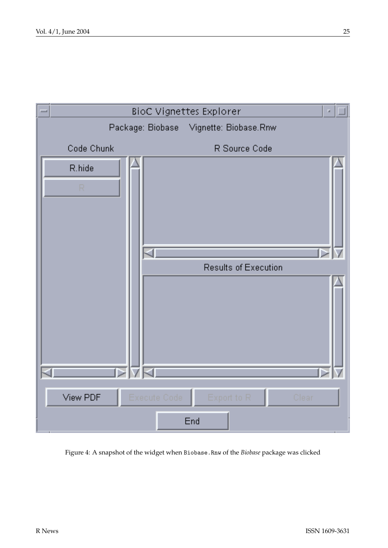

Figure 4: A snapshot of the widget when Biobase.Rnw of the *Biobase* package was clicked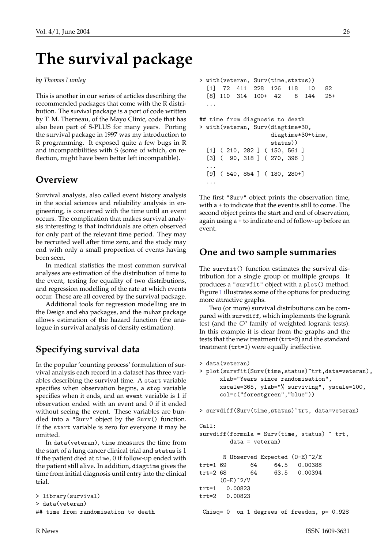# **The survival package**

#### <span id="page-25-0"></span>*by Thomas Lumley*

This is another in our series of articles describing the recommended packages that come with the R distribution. The survival package is a port of code written by T. M. Therneau, of the Mayo Clinic, code that has also been part of S-PLUS for many years. Porting the survival package in 1997 was my introduction to R programming. It exposed quite a few bugs in R and incompatibilities with S (some of which, on reflection, might have been better left incompatible).

### **Overview**

Survival analysis, also called event history analysis in the social sciences and reliability analysis in engineering, is concerned with the time until an event occurs. The complication that makes survival analysis interesting is that individuals are often observed for only part of the relevant time period. They may be recruited well after time zero, and the study may end with only a small proportion of events having been seen.

In medical statistics the most common survival analyses are estimation of the distribution of time to the event, testing for equality of two distributions, and regression modelling of the rate at which events occur. These are all covered by the survival package.

Additional tools for regression modelling are in the Design and eha packages, and the muhaz package allows estimation of the hazard function (the analogue in survival analysis of density estimation).

# **Specifying survival data**

In the popular 'counting process' formulation of survival analysis each record in a dataset has three variables describing the survival time. A start variable specifies when observation begins, a stop variable specifies when it ends, and an event variable is 1 if observation ended with an event and 0 if it ended without seeing the event. These variables are bundled into a "Surv" object by the Surv() function. If the start variable is zero for everyone it may be omitted.

In data(veteran), time measures the time from the start of a lung cancer clinical trial and status is 1 if the patient died at time, 0 if follow-up ended with the patient still alive. In addition, diagtime gives the time from initial diagnosis until entry into the clinical trial.

```
> library(survival)
> data(veteran)
## time from randomisation to death
```

```
> with(veteran, Surv(time,status))
  [1] 72 411 228 126 118 10 82
  [8] 110 314 100+ 42 8 144 25+
  ...
## time from diagnosis to death
> with(veteran, Surv(diagtime*30,
                    diagtime*30+time,
                    status))
  [1] ( 210, 282 ] ( 150, 561 ]
  [3] ( 90, 318 ] ( 270, 396 ]
  ...
  [9] ( 540, 854 ] ( 180, 280+]
  ...
```
The first "Surv" object prints the observation time, with a + to indicate that the event is still to come. The second object prints the start and end of observation, again using a + to indicate end of follow-up before an event.

### **One and two sample summaries**

The survfit() function estimates the survival distribution for a single group or multiple groups. It produces a "survfit" object with a plot() method. Figure [1](#page-26-0) illustrates some of the options for producing more attractive graphs.

Two (or more) survival distributions can be compared with survdiff, which implements the logrank test (and the G<sup>p</sup> family of weighted logrank tests). In this example it is clear from the graphs and the tests that the new treatment (trt=2) and the standard treatment (trt=1) were equally ineffective.

```
> data(veteran)
> plot(survfit(Surv(time,status)~trt,data=veteran),
     xlab="Years since randomisation",
     xscale=365, ylab="% surviving", yscale=100,
     col=c("forestgreen","blue"))
> survdiff(Surv(time,status)~trt, data=veteran)
Ca11:survdiff(formula = Surv(time, status) * trt,
        data = veteran)
      N Observed Expected (O-E)^2/E
trt=1 69 64 64.5 0.00388
trt=2 68 64 63.5 0.00394
     (0-E)^2/Vtrt=1 0.00823
trt=2 0.00823
Chisq= 0 on 1 degrees of freedom, p= 0.928
```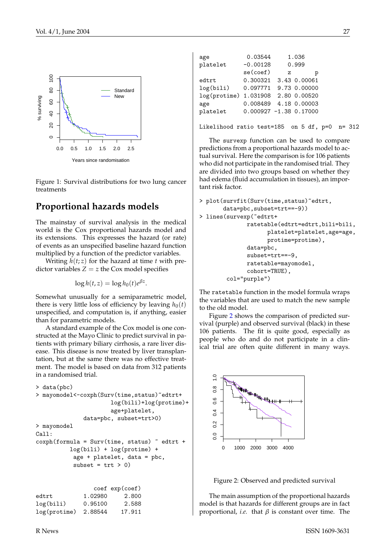

Figure 1: Survival distributions for two lung cancer treatments

# **Proportional hazards models**

The mainstay of survival analysis in the medical world is the Cox proportional hazards model and its extensions. This expresses the hazard (or rate) of events as an unspecified baseline hazard function multiplied by a function of the predictor variables.

Writing  $h(t; z)$  for the hazard at time  $t$  with predictor variables  $Z = z$  the Cox model specifies

$$
\log h(t, z) = \log h_0(t) e^{\beta z}.
$$

Somewhat unusually for a semiparametric model, there is very little loss of efficiency by leaving  $h_0(t)$ unspecified, and computation is, if anything, easier than for parametric models.

A standard example of the Cox model is one constructed at the Mayo Clinic to predict survival in patients with primary biliary cirrhosis, a rare liver disease. This disease is now treated by liver transplantation, but at the same there was no effective treatment. The model is based on data from 312 patients in a randomised trial.

```
> data(pbc)
> mayomodel<-coxph(Surv(time,status)~edtrt+
                      log(bili)+log(protime)+
                      age+platelet,
              data=pbc, subset=trt>0)
> mayomodel
Call:
cosh(formula = Surv(time, status) \sim edtrt +
          log(bili) + log(protime) +
           age + platelet, data = pbc,
           subset = trt > 0)
                 \cosh \varphi
```

|         | COCI CAP (COCI) |
|---------|-----------------|
| 1.02980 | 2.800           |
| 0.95100 | 2.588           |
| 2.88544 | 17.911          |
|         |                 |

| 0.03544    |              | 1.036                                 |
|------------|--------------|---------------------------------------|
| $-0.00128$ |              | 0.999                                 |
| se(coef)   | $\mathbf{z}$ | р                                     |
| 0.300321   |              | 3.43 0.00061                          |
| 0.097771   |              | 9.73 0.00000                          |
| 1.031908   |              | 2.80 0.00520                          |
|            |              | 4.18 0.00003                          |
|            |              |                                       |
|            |              |                                       |
|            |              | 0.008489<br>$0.000927 - 1.38 0.17000$ |

Likelihood ratio test=185 on 5 df, p=0 n= 312

<span id="page-26-0"></span>The survexp function can be used to compare predictions from a proportional hazards model to actual survival. Here the comparison is for 106 patients who did not participate in the randomised trial. They are divided into two groups based on whether they had edema (fluid accumulation in tissues), an important risk factor.

```
> plot(survfit(Surv(time,status)~edtrt,
       data=pbc,subset=trt==-9))
> lines(survexp(~edtrt+
              ratetable(edtrt=edtrt,bili=bili,
                    platelet=platelet,age=age,
```

```
protime=protime),
      data=pbc,
      subset=trt==-9,
      ratetable=mayomodel,
      cohort=TRUE),
col="purple")
```
The ratetable function in the model formula wraps the variables that are used to match the new sample to the old model.

Figure [2](#page-26-1) shows the comparison of predicted survival (purple) and observed survival (black) in these 106 patients. The fit is quite good, especially as people who do and do not participate in a clinical trial are often quite different in many ways.



<span id="page-26-1"></span>Figure 2: Observed and predicted survival

The main assumption of the proportional hazards model is that hazards for different groups are in fact proportional, *i.e.* that  $\beta$  is constant over time. The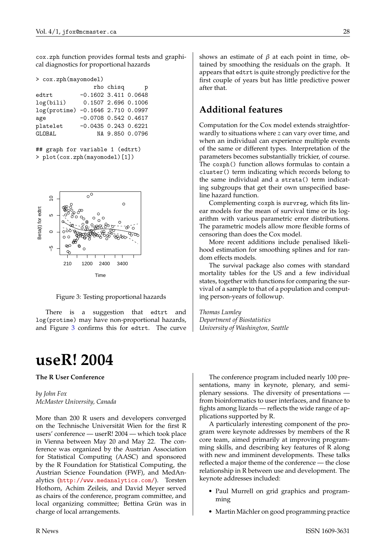cox.zph function provides formal tests and graphical diagnostics for proportional hazards

| > cox.zph(mayomodel) |                                                                                                                                                                        |
|----------------------|------------------------------------------------------------------------------------------------------------------------------------------------------------------------|
|                      | p                                                                                                                                                                      |
|                      |                                                                                                                                                                        |
|                      |                                                                                                                                                                        |
|                      |                                                                                                                                                                        |
|                      |                                                                                                                                                                        |
|                      |                                                                                                                                                                        |
|                      |                                                                                                                                                                        |
|                      | rho chisq<br>$-0.1602$ 3.411 0.0648<br>0.1507 2.696 0.1006<br>log(protime) -0.1646 2.710 0.0997<br>$-0.0708$ 0.542 0.4617<br>$-0.0435$ 0.243 0.6221<br>NA 9.850 0.0796 |

<sup>##</sup> graph for variable 1 (edtrt) > plot(cox.zph(mayomodel)[1])



Figure 3: Testing proportional hazards

There is a suggestion that edtrt and log(protime) may have non-proportional hazards, and Figure [3](#page-27-1) confirms this for edtrt. The curve

# **useR! 2004**

#### <span id="page-27-0"></span>**The R User Conference**

*by John Fox McMaster University, Canada*

More than 200 R users and developers converged on the Technische Universität Wien for the first R users' conference — userR! 2004 — which took place in Vienna between May 20 and May 22. The conference was organized by the Austrian Association for Statistical Computing (AASC) and sponsored by the R Foundation for Statistical Computing, the Austrian Science Foundation (FWF), and MedAnalytics (<http://www.medanalytics.com/>). Torsten Hothorn, Achim Zeileis, and David Meyer served as chairs of the conference, program committee, and local organizing committee; Bettina Grün was in charge of local arrangements.

shows an estimate of  $\beta$  at each point in time, obtained by smoothing the residuals on the graph. It appears that edtrt is quite strongly predictive for the first couple of years but has little predictive power after that.

### **Additional features**

Computation for the Cox model extends straightforwardly to situations where *z* can vary over time, and when an individual can experience multiple events of the same or different types. Interpretation of the parameters becomes substantially trickier, of course. The coxph() function allows formulas to contain a cluster() term indicating which records belong to the same individual and a strata() term indicating subgroups that get their own unspecified baseline hazard function.

Complementing coxph is survreg, which fits linear models for the mean of survival time or its logarithm with various parametric error distributions. The parametric models allow more flexible forms of censoring than does the Cox model.

More recent additions include penalised likelihood estimation for smoothing splines and for random effects models.

<span id="page-27-1"></span>The survival package also comes with standard mortality tables for the US and a few individual states, together with functions for comparing the survival of a sample to that of a population and computing person-years of followup.

*Thomas Lumley Department of Biostatistics University of Washington, Seattle*

The conference program included nearly 100 presentations, many in keynote, plenary, and semiplenary sessions. The diversity of presentations from bioinformatics to user interfaces, and finance to fights among lizards — reflects the wide range of applications supported by R.

A particularly interesting component of the program were keynote addresses by members of the R core team, aimed primarily at improving programming skills, and describing key features of R along with new and imminent developments. These talks reflected a major theme of the conference — the close relationship in R between use and development. The keynote addresses included:

- Paul Murrell on grid graphics and programming
- Martin Mächler on good programming practice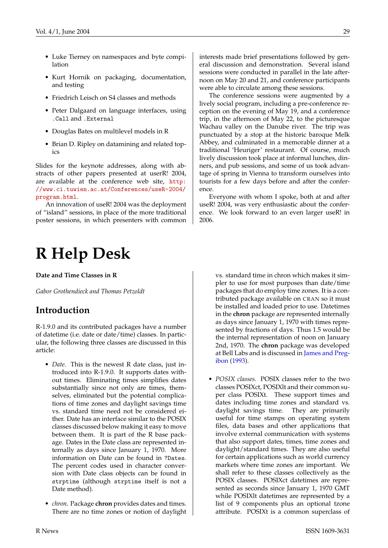- <span id="page-28-1"></span>• Luke Tierney on namespaces and byte compilation
- Kurt Hornik on packaging, documentation, and testing
- Friedrich Leisch on S4 classes and methods
- Peter Dalgaard on language interfaces, using .Call and .External
- Douglas Bates on multilevel models in R
- Brian D. Ripley on datamining and related topics

Slides for the keynote addresses, along with abstracts of other papers presented at userR! 2004, are available at the conference web site, [http:](http://www.ci.tuwien.ac.at/Conferences/useR-2004/program.html) [//www.ci.tuwien.ac.at/Conferences/useR-2004/](http://www.ci.tuwien.ac.at/Conferences/useR-2004/program.html) [program.html](http://www.ci.tuwien.ac.at/Conferences/useR-2004/program.html).

An innovation of useR! 2004 was the deployment of "island" sessions, in place of the more traditional poster sessions, in which presenters with common

# **R Help Desk**

#### <span id="page-28-0"></span>**Date and Time Classes in R**

*Gabor Grothendieck and Thomas Petzoldt*

### **Introduction**

R-1.9.0 and its contributed packages have a number of datetime (i.e. date or date/time) classes. In particular, the following three classes are discussed in this article:

- *Date*. This is the newest R date class, just introduced into R-1.9.0. It supports dates without times. Eliminating times simplifies dates substantially since not only are times, themselves, eliminated but the potential complications of time zones and daylight savings time vs. standard time need not be considered either. Date has an interface similar to the POSIX classes discussed below making it easy to move between them. It is part of the R base package. Dates in the Date class are represented internally as days since January 1, 1970. More information on Date can be found in ?Dates. The percent codes used in character conversion with Date class objects can be found in strptime (although strptime itself is not a Date method).
- *chron*. Package **chron** provides dates and times. There are no time zones or notion of daylight

interests made brief presentations followed by general discussion and demonstration. Several island sessions were conducted in parallel in the late afternoon on May 20 and 21, and conference participants were able to circulate among these sessions.

The conference sessions were augmented by a lively social program, including a pre-conference reception on the evening of May 19, and a conference trip, in the afternoon of May 22, to the picturesque Wachau valley on the Danube river. The trip was punctuated by a stop at the historic baroque Melk Abbey, and culminated in a memorable dinner at a traditional 'Heuriger' restaurant. Of course, much lively discussion took place at informal lunches, dinners, and pub sessions, and some of us took advantage of spring in Vienna to transform ourselves into tourists for a few days before and after the conference.

Everyone with whom I spoke, both at and after useR! 2004, was very enthusiastic about the conference. We look forward to an even larger useR! in 2006.

> vs. standard time in chron which makes it simpler to use for most purposes than date/time packages that do employ time zones. It is a contributed package available on CRAN so it must be installed and loaded prior to use. Datetimes in the **chron** package are represented internally as days since January 1, 1970 with times represented by fractions of days. Thus 1.5 would be the internal representation of noon on January 2nd, 1970. The **chron** package was developed at Bell Labs and is discussed in [James and Preg](#page-30-0)[ibon](#page-30-0) [\(1993\)](#page-30-0).

• *POSIX classes*. POSIX classes refer to the two classes POSIXct, POSIXlt and their common super class POSIXt. These support times and dates including time zones and standard vs. daylight savings time. They are primarily useful for time stamps on operating system files, data bases and other applications that involve external communication with systems that also support dates, times, time zones and daylight/standard times. They are also useful for certain applications such as world currency markets where time zones are important. We shall refer to these classes collectively as the POSIX classes. POSIXct datetimes are represented as seconds since January 1, 1970 GMT while POSIXlt datetimes are represented by a list of 9 components plus an optional tzone attribute. POSIXt is a common superclass of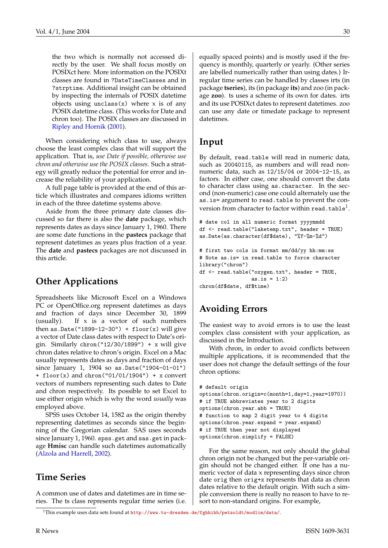<span id="page-29-1"></span>the two which is normally not accessed directly by the user. We shall focus mostly on POSIXct here. More information on the POSIXt classes are found in ?DateTimeClasses and in ?strptime. Additional insight can be obtained by inspecting the internals of POSIX datetime objects using unclass $(x)$  where x is of any POSIX datetime class. (This works for Date and chron too). The POSIX classes are discussed in [Ripley and Hornik](#page-30-1) [\(2001\)](#page-30-1).

When considering which class to use, always choose the least complex class that will support the application. That is, *use Date if possible, otherwise use chron and otherwise use the POSIX classes*. Such a strategy will greatly reduce the potential for error and increase the reliability of your application.

A full page table is provided at the end of this article which illustrates and compares idioms written in each of the three datetime systems above.

Aside from the three primary date classes discussed so far there is also the **date** package, which represents dates as days since January 1, 1960. There are some date functions in the **pastecs** package that represent datetimes as years plus fraction of a year. The **date** and **pastecs** packages are not discussed in this article.

### **Other Applications**

Spreadsheets like Microsoft Excel on a Windows PC or OpenOffice.org represent datetimes as days and fraction of days since December 30, 1899 (usually). If x is a vector of such numbers then as.Date("1899-12-30") +  $floor(x)$  will give a vector of Date class dates with respect to Date's origin. Similarly chron(" $12/30/1899$ ") + x will give chron dates relative to chron's origin. Excel on a Mac usually represents dates as days and fraction of days since January 1, 1904 so as.Date("1904-01-01") + floor(x) and chron("01/01/1904") + x convert vectors of numbers representing such dates to Date and chron respectively. Its possible to set Excel to use either origin which is why the word *usually* was employed above.

SPSS uses October 14, 1582 as the origin thereby representing datetimes as seconds since the beginning of the Gregorian calendar. SAS uses seconds since January 1, 1960. spss.get and sas.get in package **Hmisc** can handle such datetimes automatically [\(Alzola and Harrell,](#page-30-2) [2002\)](#page-30-2).

### **Time Series**

A common use of dates and datetimes are in time series. The ts class represents regular time series (i.e. equally spaced points) and is mostly used if the frequency is monthly, quarterly or yearly. (Other series are labelled numerically rather than using dates.) Irregular time series can be handled by classes irts (in package **tseries**), its (in package **its**) and zoo (in package **zoo**). ts uses a scheme of its own for dates. irts and its use POSIXct dates to represent datetimes. zoo can use any date or timedate package to represent datetimes.

### **Input**

By default, read.table will read in numeric data, such as 20040115, as numbers and will read nonnumeric data, such as 12/15/04 or 2004-12-15, as factors. In either case, one should convert the data to character class using as.character. In the second (non-numeric) case one could alternately use the as.is= argument to read.table to prevent the conversion from character to factor within  $\mathtt{read}.\mathtt{table}^1.$  $\mathtt{read}.\mathtt{table}^1.$  $\mathtt{read}.\mathtt{table}^1.$ 

```
# date col in all numeric format yyyymmdd
df <- read.table("laketemp.txt", header = TRUE)
as.Date(as.character(df$date), "%Y-%m-%d")
```

```
# first two cols in format mm/dd/yy hh:mm:ss
# Note as.is= in read.table to force character
library("chron")
df <- read.table("oxygen.txt", header = TRUE,
                 as.is = 1:2)chron(df$date, df$time)
```
# **Avoiding Errors**

The easiest way to avoid errors is to use the least complex class consistent with your application, as discussed in the Introduction.

With chron, in order to avoid conflicts between multiple applications, it is recommended that the user does not change the default settings of the four chron options:

```
# default origin
options(chron.origin=c(month=1,day=1,year=1970))
# if TRUE abbreviates year to 2 digits
options(chron.year.abb = TRUE)
# function to map 2 digit year to 4 digits
options(chron.year.expand = year.expand)
# if TRUE then year not displayed
options(chron.simplify = FALSE)
```
For the same reason, not only should the global chron origin not be changed but the per-variable origin should not be changed either. If one has a numeric vector of data x representing days since chron date orig then orig+x represents that data as chron dates relative to the default origin. With such a simple conversion there is really no reason to have to resort to non-standard origins. For example,

<span id="page-29-0"></span><sup>1</sup>This example uses data sets found at <http://www.tu-dresden.de/fghhihb/petzoldt/modlim/data/>.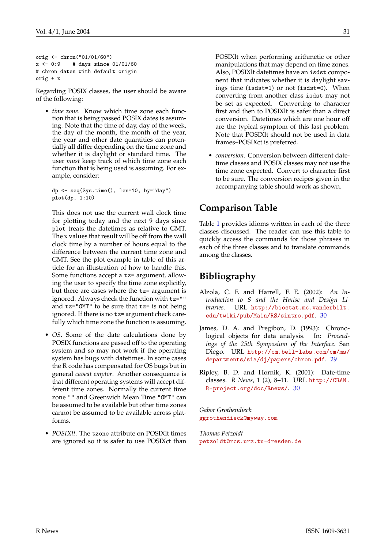```
orig <- chron("01/01/60")
x \leftarrow 0:9 # days since 01/01/60
# chron dates with default origin
orig + x
```
Regarding POSIX classes, the user should be aware of the following:

• *time zone*. Know which time zone each function that is being passed POSIX dates is assuming. Note that the time of day, day of the week, the day of the month, the month of the year, the year and other date quantities can potentially all differ depending on the time zone and whether it is daylight or standard time. The user *must* keep track of which time zone each function that is being used is assuming. For example, consider:

dp <- seq(Sys.time(), len=10, by="day") plot(dp, 1:10)

This does not use the current wall clock time for plotting today and the next 9 days since plot treats the datetimes as relative to GMT. The x values that result will be off from the wall clock time by a number of hours equal to the difference between the current time zone and GMT. See the plot example in table of this article for an illustration of how to handle this. Some functions accept a tz= argument, allowing the user to specify the time zone explicitly, but there are cases where the tz= argument is ignored. Always check the function with tz="" and tz="GMT" to be sure that tz= is not being ignored. If there is no tz= argument check carefully which time zone the function is assuming.

- *OS*. Some of the date calculations done by POSIX functions are passed off to the operating system and so may not work if the operating system has bugs with datetimes. In some cases the R code has compensated for OS bugs but in general *caveat emptor*. Another consequence is that different operating systems will accept different time zones. Normally the current time zone "" and Greenwich Mean Time "GMT" can be assumed to be available but other time zones cannot be assumed to be available across platforms.
- *POSIXlt*. The tzone attribute on POSIXlt times are ignored so it is safer to use POSIXct than

POSIXlt when performing arithmetic or other manipulations that may depend on time zones. Also, POSIXlt datetimes have an isdst component that indicates whether it is daylight savings time (isdst=1) or not (isdst=0). When converting from another class isdst may not be set as expected. Converting to character first and then to POSIXlt is safer than a direct conversion. Datetimes which are one hour off are the typical symptom of this last problem. Note that POSIXlt should not be used in data frames–POSIXct is preferred.

• *conversion*. Conversion between different datetime classes and POSIX classes may not use the time zone expected. Convert to character first to be sure. The conversion recipes given in the accompanying table should work as shown.

## **Comparison Table**

Table [1](#page-31-0) provides idioms written in each of the three classes discussed. The reader can use this table to quickly access the commands for those phrases in each of the three classes and to translate commands among the classes.

# **Bibliography**

- <span id="page-30-2"></span>Alzola, C. F. and Harrell, F. E. (2002): *An Introduction to S and the Hmisc and Design Libraries*. URL [http://biostat.mc.vanderbilt.](http://biostat.mc.vanderbilt.edu/twiki/pub/Main/RS/sintro.pdf) [edu/twiki/pub/Main/RS/sintro.pdf](http://biostat.mc.vanderbilt.edu/twiki/pub/Main/RS/sintro.pdf). [30](#page-29-1)
- <span id="page-30-0"></span>James, D. A. and Pregibon, D. (1993): Chronological objects for data analysis. In: *Proceedings of the 25th Symposium of the Interface*. San Diego. URL [http://cm.bell-labs.com/cm/ms/](http://cm.bell-labs.com/cm/ms/departments/sia/dj/papers/chron.pdf) [departments/sia/dj/papers/chron.pdf](http://cm.bell-labs.com/cm/ms/departments/sia/dj/papers/chron.pdf). [29](#page-28-1)
- <span id="page-30-1"></span>Ripley, B. D. and Hornik, K. (2001): Date-time classes. *R News*, 1 (2), 8–11. URL [http://CRAN.](http://CRAN.R-project.org/doc/Rnews/) [R-project.org/doc/Rnews/](http://CRAN.R-project.org/doc/Rnews/). [30](#page-29-1)

*Gabor Grothendieck* [ggrothendieck@myway.com](mailto:ggrothendieck@myway.com)

*Thomas Petzoldt* [petzoldt@rcs.urz.tu-dresden.de](mailto:petzoldt@rcs.urz.tu-dresden.de)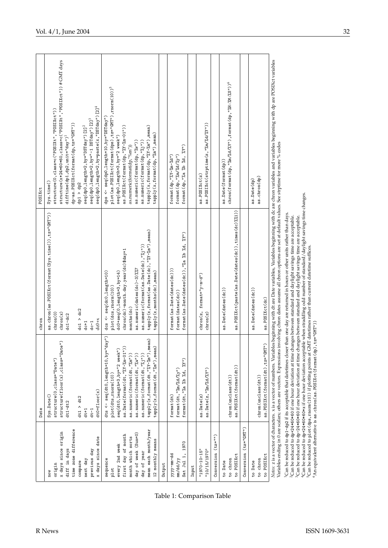|                                                                                                                                                                 | Date                                                                                                                                                                                                                                                                                                                                     | chron                                                                                                                                                                                                                                                                                                         | POSIXct                                                                                                                                                                                                                                                                                                                                                                                                                                   |
|-----------------------------------------------------------------------------------------------------------------------------------------------------------------|------------------------------------------------------------------------------------------------------------------------------------------------------------------------------------------------------------------------------------------------------------------------------------------------------------------------------------------|---------------------------------------------------------------------------------------------------------------------------------------------------------------------------------------------------------------------------------------------------------------------------------------------------------------|-------------------------------------------------------------------------------------------------------------------------------------------------------------------------------------------------------------------------------------------------------------------------------------------------------------------------------------------------------------------------------------------------------------------------------------------|
| time zone difference<br>x days since origin<br>x days since date<br>diff in days<br>previous day<br>next day<br>compare<br>origin<br>non                        | structure(floor(x),class="Date")<br>structure(0, class="Date")<br>$dt0 + f1oor(x)$<br>Sys.Date()<br>dt1 > dt2<br>$dt1-dt2$<br>$d$ t+1<br>$dt-1$                                                                                                                                                                                          | as.chron(as.POSIXct(format(Sys.time()),tz="GMT"))<br>dct > dc2<br>chron(0)<br>charon(x)<br>$dc1-dc2$<br>$dc0+x$<br>$dc+1$<br>$dc-1$                                                                                                                                                                           | structure(x*24*60*60,class=c("POSIXt","POSIXct"))#GMTdays<br>seq(dp0, length=2, by=paste(x, "DSTday")[2] <sup>4</sup><br>structure(0,class=c("POSIXt","POSIXct"))<br>$seq(dp0, length=2, by="-1)$ $DSTday'$ ) $[2]$ <sup>3</sup><br>dp-as.POSIXct(format(dp,tz="GMT"))<br>seq(dp0, length=2, by="DSTday") [2] <sup>2</sup><br>$\texttt{difftime}(\texttt{dp1}, \texttt{dp2}, \texttt{unit=", \texttt{day''}})$<br>Sys.time()<br>dp1 > dp2 |
| mean each month/year<br>day of week (Sun=0)<br>first day of month<br>month which sorts<br>12 monthly means<br>every 2nd week<br>day of year<br>sequence<br>plot | $dts < -seq(dt0, length=10, by="day")$<br>$\tt{tapply(x, format(dt, "YY-Km")}, mean)$<br>$\tt{tapply(x, format(dt, "?\nm{m}"), mean}$<br>seq(dt0, length=3, by="2 week")<br>as.Date(format(dt,"%Y-%m-01")<br>as.numeric(format(dt,"%m"))<br>as.numeric(format(dt,"%w"))<br>as.numeric $(f$ ormat $(dt, "l'_{j"})$<br>plot(dts,rnorm(10)) | $t$ apply(x,format(as.Date(dc)," $\chi Y - \chi_{m}$ "),mean)<br>as.numeric(format(as.Date(dc),"%j"))<br>chron(dc)-month.day.year(dc)\$day+1<br>as.numeric(dates(dc)-3)%%7<br>$dc0 + seq(0, length=3, by=14)$<br>dcs <- seq(dc0, length=10)<br>tapply(x,months(dc),mean)<br>plot(dcs,rnorm(10);<br>months(dc) | plot(as.POSIXct(format(dps),tz="GMT"),rnorm(10)) <sup>5</sup><br>dps <- seq(dp0, length=10, by="DSTday")<br>$\tt{tapply(x, format(dp, "YY-Ym").}$ mean)<br>as. $POSIXct(format(dp, "XY-"Zm-01")$<br>$\texttt{tapply}(x, \texttt{format}(dp, "'\texttt{m}''), \texttt{mean})$<br>seq(dp0, length=3, by="2 week")<br>as.numeric(format(dp,"%w"))<br>as.numeric(format(dp," $\frac{1}{2}$ j"))<br>as.numeric(format(dp,"%m"))                |
| 1970<br>$yyyy-mm-dd$<br>Sat Jul 1<br>mm/dd/yy<br>Output                                                                                                         | format $(\mathrm{dt}, \mathord{"?a} \ \mathrm{Zb} \ \mathrm{Zd}, \ \mathrm{ZY"})$<br>format $(\mathrm{dt}, \mathord{"}\lambda \mathrm{m}/\mathrm{d}/\mathrm{d}/\mathrm{d}/\mathrm{y} \mathord{"})$<br>format(dt)                                                                                                                         | format (as. Date (dates (dc)), "%a %b %d, %Y")<br>format (as. Date (dates (dc)))<br>format (dates(dc))                                                                                                                                                                                                        | format (dp, "%a %b %d, %Y")<br>format $(dp, "YY-Ym-Yd")$<br>format $(dp, "lm'/d/{}'_{a}y")$                                                                                                                                                                                                                                                                                                                                               |
| Conversion (tz="")<br>"10/15/1970"<br>"1970-10-15"<br>Input                                                                                                     | as. Date (z, " $\frac{1}{2}$ m/ $\frac{1}{2}$ d/ $\frac{1}{2}$ Y")<br>as.Date(z)                                                                                                                                                                                                                                                         | format=" $y$ -m-d"<br>chron(z,<br>charon(z)                                                                                                                                                                                                                                                                   | as. POSIXct (strptime $(z, " \text{m}/ \text{m} / \text{m} / \text{m} / \text{m} / \text{m} )$ )<br>as.POSIXct(z)                                                                                                                                                                                                                                                                                                                         |
| Conversion (tz="GMT")<br>to POSIXct<br>to chron<br>to Date                                                                                                      | as.POSIXct(format(dt))<br>chron(unclass(dt))                                                                                                                                                                                                                                                                                             | as.POSIXct(paste(as.Date(dates(dc)),times(dc)%%1))<br>as.Date(dates(dc))                                                                                                                                                                                                                                      | chron(format(dp, " $\frac{1}{2}$ "/a/ $\frac{1}{2}$ Y'),format(dp, " $\frac{1}{2}$ H: $\frac{1}{2}$ K': $\frac{1}{2}$ S")) <sup>6</sup><br>as.Date(format(dp))                                                                                                                                                                                                                                                                            |
| to POSIXct<br>to chron<br>to Date                                                                                                                               | as.POSIXct(format(dt),tz="GMI")<br>chron(unclass(dt))                                                                                                                                                                                                                                                                                    | as.Date(dates(dc))<br>as.POSIXct(dc)                                                                                                                                                                                                                                                                          | as.chron(dp)<br>as.Date(dp)                                                                                                                                                                                                                                                                                                                                                                                                               |
| Vanishino a                                                                                                                                                     | Notes: z is a vector of characters. x is a vector of numbers. Variabl                                                                                                                                                                                                                                                                    | anticantinas Capital                                                                                                                                                                                                                                                                                          | es beginning with dt are Date variables, Variables beginning with dc are chron variables and variables beginning with dp are POSIXct variables                                                                                                                                                                                                                                                                                            |

<span id="page-31-0"></span>Table 1: Comparison Table

See strptime for more % codes Variables ending in 0 are scalars; others are vectors. Expressions involving chron dates assume all chron options are set at default values. See strptime for more % codes Aniables ending in 0 are scalars; others are vectors. Expressions involving chron dates assume all chron options are set at default values.

<sup>1</sup>Can be reduced to dp1-dp2 if its acceptable that datefimes closer than one day are returned in hours or other units rather than days.<br><sup>2</sup>Can be reduced to dp+24\*60\*80 if one hour deviation at time changes between stand Can be reduced to dp+24\*60\*60\*x if one hour deviation acceptable when straddling odd number of standard/daylight savings time changes. Can be reduced to dp1-dp2 if its acceptable that datetimes closer than one day are returned in hours or other units rather than days. Can be reduced to dp+24\*60\*60 if one hour deviation at time changes between standard and daylight savings time are acceptable. Can be reduced to dp-24\*60\*60 if one hour deviation at time changes between standard and daylight savings time are acceptable.

 $5\,$ Can be reduced to plot (dps,  $r$ norm $(10)$ ) if plotting points at GMT datetimes rather than current datetime suffices.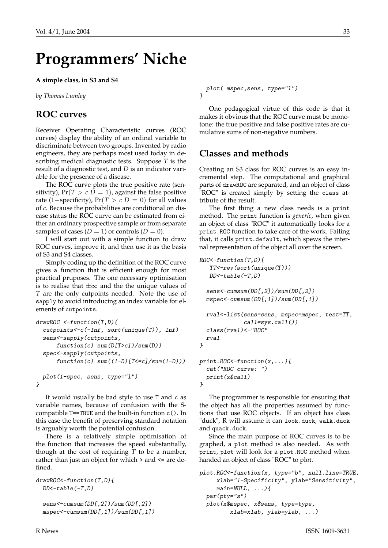# **Programmers' Niche**

#### <span id="page-32-0"></span>**A simple class, in S3 and S4**

*by Thomas Lumley*

#### **ROC curves**

Receiver Operating Characteristic curves (ROC curves) display the ability of an ordinal variable to discriminate between two groups. Invented by radio engineers, they are perhaps most used today in describing medical diagnostic tests. Suppose *T* is the result of a diagnostic test, and *D* is an indicator variable for the presence of a disease.

The ROC curve plots the true positive rate (sensitivity),  $Pr(T > c | D = 1)$ , against the false positive rate (1−specificity),  $Pr(T > c | D = 0)$  for all values of *c*. Because the probabilities are conditional on disease status the ROC curve can be estimated from either an ordinary prospective sample or from separate samples of cases  $(D = 1)$  or controls  $(D = 0)$ .

I will start out with a simple function to draw ROC curves, improve it, and then use it as the basis of S3 and S4 classes.

Simply coding up the definition of the ROC curve gives a function that is efficient enough for most practical pruposes. The one necessary optimisation is to realise that  $\pm\infty$  and the the unique values of *T* are the only cutpoints needed. Note the use of sapply to avoid introducing an index variable for elements of cutpoints.

```
drawROC \leftarrow function(T,D){
  cutpoints<-c(-Inf, sort(unique(T)), Inf)
  sens<-sapply(cutpoints,
      function(c) sum(D[T>c])/sum(D))spec<-sapply(cutpoints,
      function(c) sum((1-D) [T\leq c]/sum(1-D))plot(1-spec, sens, type="l")
}
```
It would usually be bad style to use T and c as variable names, because of confusion with the Scompatible T==TRUE and the built-in function c(). In this case the benefit of preserving standard notation is arguably worth the potential confusion.

There is a relatively simple optimisation of the function that increases the speed substantially, though at the cost of requiring  $\overline{T}$  to be a number, rather than just an object for which > and <= are defined.

```
drawROC<-function(T,D){
 DD < -table (-T, D)sens<-cumsum(DD[,2])/sum(DD[,2])
  mspec<-cumsum(DD[,1])/sum(DD[,1])
```

```
plot( mspec,sens, type="l")
}
```
One pedagogical virtue of this code is that it makes it obvious that the ROC curve must be monotone: the true positive and false positive rates are cumulative sums of non-negative numbers.

# **Classes and methods**

Creating an S3 class for ROC curves is an easy incremental step. The computational and graphical parts of drawROC are separated, and an object of class "ROC" is created simply by setting the class attribute of the result.

The first thing a new class needs is a print method. The print function is *generic*, when given an object of class "ROC" it automatically looks for a print.ROC function to take care of the work. Failing that, it calls print.default, which spews the internal representation of the object all over the screen.

```
ROC - function (T,D) {
   TT<-rev(sort(unique(T)))
   DD < -table(-T,D)sens<-cumsum(DD[,2])/sum(DD[,2])
  mspec<-cumsum(DD[,1])/sum(DD[,1])
  rval<-list(sens=sens, mspec=mspec, test=TT,
             call=sys.call())
  class(rval)<-"ROC"
  rval
}
print.ROC-function(x, \ldots){
  cat("ROC curve: ")
  print(x$call)
}
```
The programmer is responsible for ensuring that the object has all the properties assumed by functions that use ROC objects. If an object has class "duck", R will assume it can look.duck, walk.duck and quack.duck.

Since the main purpose of ROC curves is to be graphed, a plot method is also needed. As with print, plot will look for a plot.ROC method when handed an object of class "ROC" to plot.

```
plot.ROC<-function(x, type="b", null.line=TRUE,
     xlab="1-Specificity", ylab="Sensitivity",
     main=NULL, ...){
  par(pty="s")
  plot(x$mspec, x$sens, type=type,
         xlab=xlab, ylab=ylab, ...)
```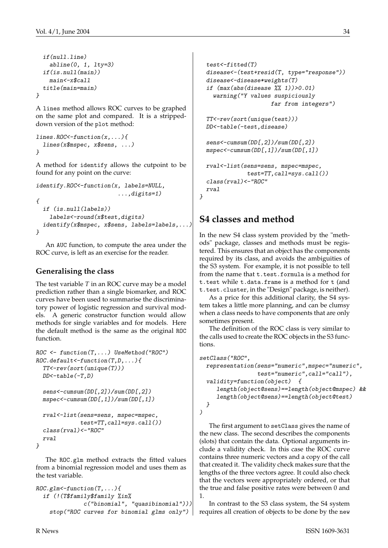}

```
if(null.line)
 abline(0, 1, 1ty=3)
if(is.null(main))
 main<-x$call
title(main=main)
```
A lines method allows ROC curves to be graphed on the same plot and compared. It is a strippeddown version of the plot method:

```
lines.ROC\le-function(x, \ldots){
  lines(x$mspec, x$sens, ...)
}
```
A method for identify allows the cutpoint to be found for any point on the curve:

```
identify.ROC<-function(x, labels=NULL,
                         ...,digits=1)
{
 if (is.null(labels))
   labels<-round(x$test,digits)
 identify(x$mspec, x$sens, labels=labels,...)
}
```
An AUC function, to compute the area under the ROC curve, is left as an exercise for the reader.

#### **Generalising the class**

The test variable *T* in an ROC curve may be a model prediction rather than a single biomarker, and ROC curves have been used to summarise the discriminatory power of logistic regression and survival models. A generic constructor function would allow methods for single variables and for models. Here the default method is the same as the original ROC function.

```
ROC \leftarrow function(T, ...) UseMethod("ROC")
ROC.default <-function(T,D,...){
  TT<-rev(sort(unique(T)))
  DD < -table (-T, D)sens<-cumsum(DD[,2])/sum(DD[,2])
  mspec<-cumsum(DD[,1])/sum(DD[,1])
  rval<-list(sens=sens, mspec=mspec,
             test=TT,call=sys.call())
  class(rval)<-"ROC"
  rval
}
```
The ROC.glm method extracts the fitted values from a binomial regression model and uses them as the test variable.

```
ROC.glm -function (T, \ldots) {
  if (!(T$family$family %in%
              c("binomial", "quasibinomial")))
    stop("ROC curves for binomial glms only")
```

```
test<-fitted(T)
  disease<-(test+resid(T, type="response"))
  disease<-disease*weights(T)
  if (max(abs(disease % 1)) > 0.01)warning("Y values suspiciously
                     far from integers")
  TT<-rev(sort(unique(test)))
  DD<-table(-test,disease)
  sens<-cumsum(DD[,2])/sum(DD[,2])
  mspec<-cumsum(DD[,1])/sum(DD[,1])
  rval<-list(sens=sens, mspec=mspec,
              test=TT,call=sys.call())
  class(rval)<-"ROC"
  rval
}
```
## **S4 classes and method**

In the new S4 class system provided by the "methods" package, classes and methods must be registered. This ensures that an object has the components required by its class, and avoids the ambiguities of the S3 system. For example, it is not possible to tell from the name that t.test.formula is a method for t.test while t.data.frame is a method for t (and t.test.cluster, in the "Design" package, is neither).

As a price for this additional clarity, the S4 system takes a little more planning, and can be clumsy when a class needs to have components that are only sometimes present.

The definition of the ROC class is very similar to the calls used to create the ROC objects in the S3 functions.

```
setClass("ROC",
  representation(sens="numeric",mspec="numeric",
                 test="numeric",call="call"),
  validity=function(object) {
     length(object@sens)==length(object@mspec) &&
     length(object@sens)==length(object@test)
  }
\lambda
```
The first argument to setClass gives the name of the new class. The second describes the components (slots) that contain the data. Optional arguments include a validity check. In this case the ROC curve contains three numeric vectors and a copy of the call that created it. The validity check makes sure that the lengths of the three vectors agree. It could also check that the vectors were appropriately ordered, or that the true and false positive rates were between 0 and 1.

In contrast to the S3 class system, the S4 system requires all creation of objects to be done by the new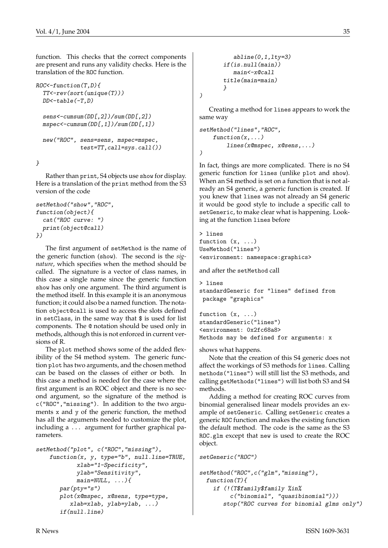function. This checks that the correct components are present and runs any validity checks. Here is the translation of the ROC function.

```
ROC -function(T,D){
  TT<-rev(sort(unique(T)))
 DD < -table (-T, D)sens<-cumsum(DD[,2])/sum(DD[,2])
 mspec<-cumsum(DD[,1])/sum(DD[,1])
 new("ROC", sens=sens, mspec=mspec,
             test=TT,call=sys.call())
```
}

Rather than print, S4 objects use show for display. Here is a translation of the print method from the S3 version of the code

```
setMethod("show","ROC",
function(object){
  cat("ROC curve: ")
 print(object@call)
})
```
The first argument of setMethod is the name of the generic function (show). The second is the *signature*, which specifies when the method should be called. The signature is a vector of class names, in this case a single name since the generic function show has only one argument. The third argument is the method itself. In this example it is an anonymous function; it could also be a named function. The notation object@call is used to access the slots defined in setClass, in the same way that \$ is used for list components. The @ notation should be used only in methods, although this is not enforced in current versions of R.

The plot method shows some of the added flexibility of the S4 method system. The generic function plot has two arguments, and the chosen method can be based on the classes of either or both. In this case a method is needed for the case where the first argument is an ROC object and there is no second argument, so the signature of the method is c("ROC","missing"). In addition to the two arguments x and y of the generic function, the method has all the arguments needed to customize the plot, including a ... argument for further graphical parameters.

```
setMethod("plot", c("ROC","missing"),
    function(x, y, type="b", null.line=TRUE,
            xlab="1-Specificity",
            ylab="Sensitivity",
            main=NULL, \ldots){
       par(pty="s")
       plot(x@mspec, x@sens, type=type,
          xlab=xlab, ylab=ylab, ...)
       if(null.line)
```

```
abline(0,1,1ty=3)if(is.null(main))
   main<-x@call
title(main=main)
}
```
)

Creating a method for lines appears to work the same way

```
setMethod("lines","ROC",
    function(x, \ldots)lines(x@mspec, x@sens,...)
)
```
In fact, things are more complicated. There is no S4 generic function for lines (unlike plot and show). When an S4 method is set on a function that is not already an S4 generic, a generic function is created. If you knew that lines was not already an S4 generic it would be good style to include a specific call to setGeneric, to make clear what is happening. Looking at the function lines before

```
> lines
function (x, \ldots)UseMethod("lines")
<environment: namespace:graphics>
```
and after the setMethod call

```
> lines
standardGeneric for "lines" defined from
package "graphics"
```

```
function (x, \ldots)standardGeneric("lines")
<environment: 0x2fc68a8>
Methods may be defined for arguments: x
```
shows what happens.

Note that the creation of this S4 generic does not affect the workings of S3 methods for lines. Calling methods("lines") will still list the S3 methods, and calling getMethods("lines") will list both S3 and S4 methods.

Adding a method for creating ROC curves from binomial generalised linear models provides an example of setGeneric. Calling setGeneric creates a generic ROC function and makes the existing function the default method. The code is the same as the S3 ROC.glm except that new is used to create the ROC object.

```
setGeneric("ROC")
```

```
setMethod("ROC",c("glm","missing"),
 function(T){
   if (!(T$family$family %in%
         c("binomial", "quasibinomial")))
       stop("ROC curves for binomial glms only")
```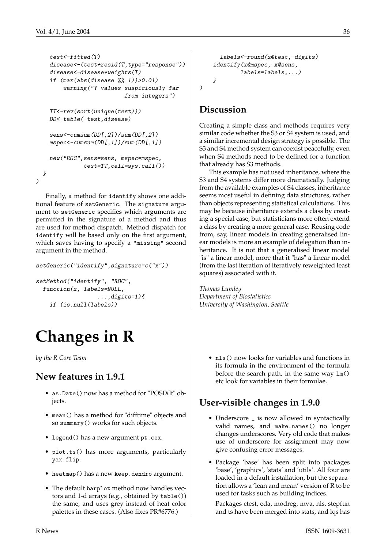)

```
test<-fitted(T)
 disease<-(test+resid(T,type="response"))
 disease<-disease*weights(T)
  if (max(abs(disease % 1)) > 0.01)warning("Y values suspiciously far
                        from integers")
 TT<-rev(sort(unique(test)))
 DD<-table(-test,disease)
 sens<-cumsum(DD[,2])/sum(DD[,2])
 mspec<-cumsum(DD[,1])/sum(DD[,1])
 new("ROC",sens=sens, mspec=mspec,
            test=TT,call=sys.call())
}
```
Finally, a method for identify shows one additional feature of setGeneric. The signature argument to setGeneric specifies which arguments are permitted in the signature of a method and thus are used for method dispatch. Method dispatch for identify will be based only on the first argument, which saves having to specify a "missing" second argument in the method.

```
setGeneric("identify",signature=c("x"))
```

```
setMethod("identify", "ROC",
  function(x, labels=NULL,
                   \ldots, digits=1) {
    if (is.null(labels))
```
# **Changes in R**

<span id="page-35-0"></span>*by the R Core Team*

# **New features in 1.9.1**

- as.Date() now has a method for "POSIXlt" objects.
- mean() has a method for "difftime" objects and so summary() works for such objects.
- legend() has a new argument pt.cex.
- plot.ts() has more arguments, particularly yax.flip.
- heatmap() has a new keep.dendro argument.
- The default barplot method now handles vectors and 1-d arrays (e.g., obtained by table()) the same, and uses grey instead of heat color palettes in these cases. (Also fixes PR#6776.)

```
labels<-round(x@test, digits)
identify(x@mspec, x@sens,
        labels=labels,...)
}
```
# **Discussion**

)

Creating a simple class and methods requires very similar code whether the S3 or S4 system is used, and a similar incremental design strategy is possible. The S3 and S4 method system can coexist peacefully, even when S4 methods need to be defined for a function that already has S3 methods.

This example has not used inheritance, where the S3 and S4 systems differ more dramatically. Judging from the available examples of S4 classes, inheritance seems most useful in defining data structures, rather than objects representing statistical calculations. This may be because inheritance extends a class by creating a special case, but statisticians more often extend a class by creating a more general case. Reusing code from, say, linear models in creating generalised linear models is more an example of delegation than inheritance. It is not that a generalised linear model "is" a linear model, more that it "has" a linear model (from the last iteration of iteratively reweighted least squares) associated with it.

*Thomas Lumley Department of Biostatistics University of Washington, Seattle*

> • nls() now looks for variables and functions in its formula in the environment of the formula before the search path, in the same way lm() etc look for variables in their formulae.

# **User-visible changes in 1.9.0**

- Underscore  $\overline{\phantom{a}}$  is now allowed in syntactically valid names, and make.names() no longer changes underscores. Very old code that makes use of underscore for assignment may now give confusing error messages.
- Package 'base' has been split into packages 'base', 'graphics', 'stats' and 'utils'. All four are loaded in a default installation, but the separation allows a 'lean and mean' version of R to be used for tasks such as building indices.

Packages ctest, eda, modreg, mva, nls, stepfun and ts have been merged into stats, and lqs has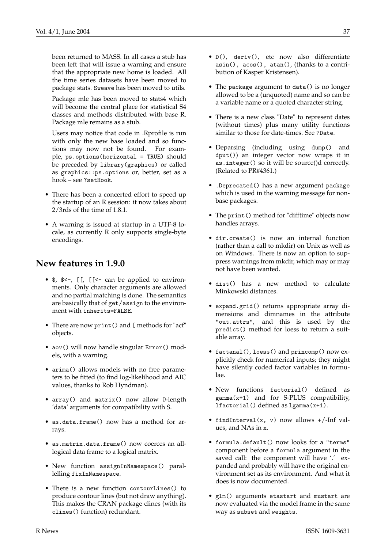been returned to MASS. In all cases a stub has been left that will issue a warning and ensure that the appropriate new home is loaded. All the time series datasets have been moved to package stats. Sweave has been moved to utils.

Package mle has been moved to stats4 which will become the central place for statistical S4 classes and methods distributed with base R. Package mle remains as a stub.

Users may notice that code in .Rprofile is run with only the new base loaded and so functions may now not be found. For example, ps.options(horizontal = TRUE) should be preceded by library(graphics) or called as graphics::ps.options or, better, set as a hook – see ?setHook.

- There has been a concerted effort to speed up the startup of an R session: it now takes about 2/3rds of the time of 1.8.1.
- A warning is issued at startup in a UTF-8 locale, as currently R only supports single-byte encodings.

## **New features in 1.9.0**

- \$, \$<-, [[, [[<- can be applied to environments. Only character arguments are allowed and no partial matching is done. The semantics are basically that of get/assign to the environment with inherits=FALSE.
- There are now print() and [ methods for "acf" objects.
- aov() will now handle singular Error() models, with a warning.
- arima() allows models with no free parameters to be fitted (to find log-likelihood and AIC values, thanks to Rob Hyndman).
- array() and matrix() now allow 0-length 'data' arguments for compatibility with S.
- as.data.frame() now has a method for arrays.
- as.matrix.data.frame() now coerces an alllogical data frame to a logical matrix.
- New function assignInNamespace() parallelling fixInNamespace.
- There is a new function contourLines() to produce contour lines (but not draw anything). This makes the CRAN package clines (with its clines() function) redundant.
- D(), deriv(), etc now also differentiate asin(), acos(), atan(), (thanks to a contribution of Kasper Kristensen).
- The package argument to data() is no longer allowed to be a (unquoted) name and so can be a variable name or a quoted character string.
- There is a new class "Date" to represent dates (without times) plus many utility functions similar to those for date-times. See ?Date.
- Deparsing (including using dump() and dput()) an integer vector now wraps it in as.integer() so it will be source()d correctly. (Related to PR#4361.)
- .Deprecated() has a new argument package which is used in the warning message for nonbase packages.
- The print() method for "difftime" objects now handles arrays.
- dir.create() is now an internal function (rather than a call to mkdir) on Unix as well as on Windows. There is now an option to suppress warnings from mkdir, which may or may not have been wanted.
- dist() has a new method to calculate Minkowski distances.
- expand.grid() returns appropriate array dimensions and dimnames in the attribute "out.attrs", and this is used by the predict() method for loess to return a suitable array.
- factanal(), loess() and princomp() now explicitly check for numerical inputs; they might have silently coded factor variables in formulae.
- New functions factorial() defined as  $gamma(x+1)$  and for S-PLUS compatibility, lfactorial() defined as lgamma(x+1).
- findInterval(x, v) now allows +/-Inf values, and NAs in x.
- formula.default() now looks for a "terms" component before a formula argument in the saved call: the component will have '.' expanded and probably will have the original environment set as its environment. And what it does is now documented.
- glm() arguments etastart and mustart are now evaluated via the model frame in the same way as subset and weights.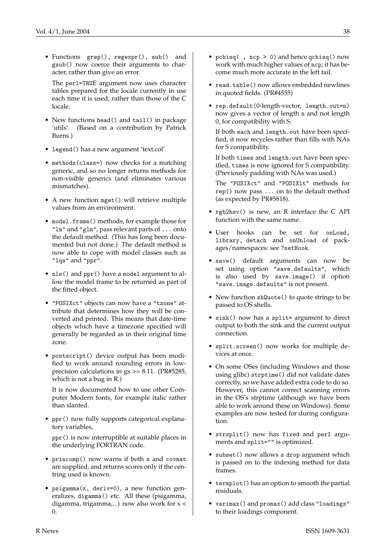• Functions grep(), regexpr(), sub() and gsub() now coerce their arguments to character, rather than give an error.

The perl=TRUE argument now uses character tables prepared for the locale currently in use each time it is used, rather than those of the C locale.

- New functions head() and tail() in package 'utils'. (Based on a contribution by Patrick Burns.)
- legend() has a new argument 'text.col'.
- methods(class=) now checks for a matching generic, and so no longer returns methods for non-visible generics (and eliminates various mismatches).
- A new function mget() will retrieve multiple values from an environment.
- model.frame() methods, for example those for "lm" and "glm", pass relevant parts of ... onto the default method. (This has long been documented but not done.) The default method is now able to cope with model classes such as "lqs" and "ppr".
- nls() and ppr() have a model argument to allow the model frame to be returned as part of the fitted object.
- "POSIXct" objects can now have a "tzone" attribute that determines how they will be converted and printed. This means that date-time objects which have a timezone specified will generally be regarded as in their original time zone.
- postscript() device output has been modified to work around rounding errors in lowprecision calculations in gs >= 8.11. (PR#5285, which is not a bug in R.)

It is now documented how to use other Computer Modern fonts, for example italic rather than slanted.

• ppr() now fully supports categorical explanatory variables,

ppr() is now interruptible at suitable places in the underlying FORTRAN code.

- princomp() now warns if both x and covmat are supplied, and returns scores only if the centring used is known.
- psigamma(x, deriv=0), a new function generalizes, digamma() etc. All these (psigamma, digamma, trigamma,...) now also work for x < 0.
- pchisq( , ncp > 0) and hence qchisq() now work with much higher values of ncp; it has become much more accurate in the left tail.
- read.table() now allows embedded newlines in quoted fields. (PR#4555)
- rep.default(0-length-vector, length.out=n) now gives a vector of length n and not length 0, for compatibility with S.

If both each and length.out have been specified, it now recycles rather than fills with NAs for S compatibility.

If both times and length.out have been specified, times is now ignored for S compatibility. (Previously padding with NAs was used.)

The "POSIXct" and "POSIXlt" methods for rep() now pass ... on to the default method (as expected by PR#5818).

- rgb2hsv() is new, an R interface the C API function with the same name.
- User hooks can be set for onLoad, library, detach and onUnload of packages/namespaces: see ?setHook.
- save() default arguments can now be set using option "save.defaults", which is also used by save.image() if option "save.image.defaults" is not present.
- New function shQuote() to quote strings to be passed to OS shells.
- sink() now has a split= argument to direct output to both the sink and the current output connection.
- split.screen() now works for multiple devices at once.
- On some OSes (including Windows and those using glibc) strptime() did not validate dates correctly, so we have added extra code to do so. However, this cannot correct scanning errors in the OS's strptime (although we have been able to work around these on Windows). Some examples are now tested for during configuration.
- strsplit() now has fixed and perl arguments and split="" is optimized.
- subset() now allows a drop argument which is passed on to the indexing method for data frames.
- termplot() has an option to smooth the partial residuals.
- varimax() and promax() add class "loadings" to their loadings component.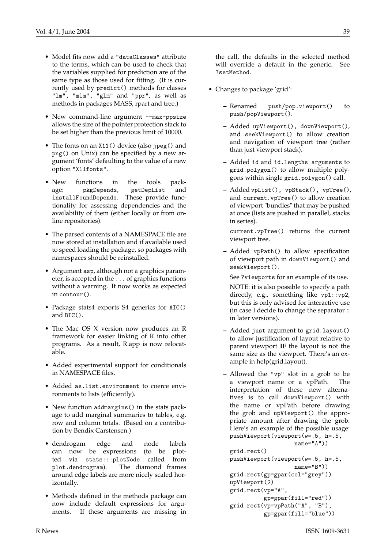- Model fits now add a "dataClasses" attribute to the terms, which can be used to check that the variables supplied for prediction are of the same type as those used for fitting. (It is currently used by predict() methods for classes "lm", "mlm", "glm" and "ppr", as well as methods in packages MASS, rpart and tree.)
- New command-line argument --max-ppsize allows the size of the pointer protection stack to be set higher than the previous limit of 10000.
- The fonts on an X11() device (also jpeg() and png() on Unix) can be specified by a new argument 'fonts' defaulting to the value of a new option "X11fonts".
- New functions in the tools package: pkgDepends, getDepList and installFoundDepends. These provide functionality for assessing dependencies and the availability of them (either locally or from online repositories).
- The parsed contents of a NAMESPACE file are now stored at installation and if available used to speed loading the package, so packages with namespaces should be reinstalled.
- Argument asp, although not a graphics parameter, is accepted in the ... of graphics functions without a warning. It now works as expected in contour().
- Package stats4 exports S4 generics for AIC() and BIC().
- The Mac OS X version now produces an R framework for easier linking of R into other programs. As a result, R.app is now relocatable.
- Added experimental support for conditionals in NAMESPACE files.
- Added as.list.environment to coerce environments to lists (efficiently).
- New function addmargins() in the stats package to add marginal summaries to tables, e.g. row and column totals. (Based on a contribution by Bendix Carstensen.)
- dendrogam edge and node labels can now be expressions (to be plotted via stats:::plotNode called from plot.dendrogram). The diamond frames around edge labels are more nicely scaled horizontally.
- Methods defined in the methods package can now include default expressions for arguments. If these arguments are missing in

the call, the defaults in the selected method will override a default in the generic. See ?setMethod.

- Changes to package 'grid':
	- **–** Renamed push/pop.viewport() to push/popViewport().
	- **–** Added upViewport(), downViewport(), and seekViewport() to allow creation and navigation of viewport tree (rather than just viewport stack).
	- **–** Added id and id.lengths arguments to grid.polygon() to allow multiple polygons within single grid.polygon() call.
	- **–** Added vpList(), vpStack(), vpTree(), and current.vpTree() to allow creation of viewport "bundles" that may be pushed at once (lists are pushed in parallel, stacks in series).

```
current.vpTree() returns the current
viewport tree.
```
- **–** Added vpPath() to allow specification of viewport path in downViewport() and seekViewport().
	- See ?viewports for an example of its use.
	- NOTE: it is also possible to specify a path directly, e.g., something like vp1::vp2, but this is only advised for interactive use (in case I decide to change the separator :: in later versions).
- **–** Added just argument to grid.layout() to allow justification of layout relative to parent viewport **IF** the layout is not the same size as the viewport. There's an example in help(grid.layout).
- **–** Allowed the "vp" slot in a grob to be a viewport name or a vpPath. The interpretation of these new alternatives is to call downViewport() with the name or vpPath before drawing the grob and upViewport() the appropriate amount after drawing the grob. Here's an example of the possible usage: pushViewport(viewport(w=.5, h=.5,

```
name="A"))
grid.rect()
pushViewport(viewport(w=.5, h=.5,
                   name="B"))
grid.rect(gp=gpar(col="grey"))
upViewport(2)
grid.rect(vp="A",
          gp=gpar(fill="red"))
grid.rect(vp=vpPath("A", "B"),
          gp=gpar(fill="blue"))
```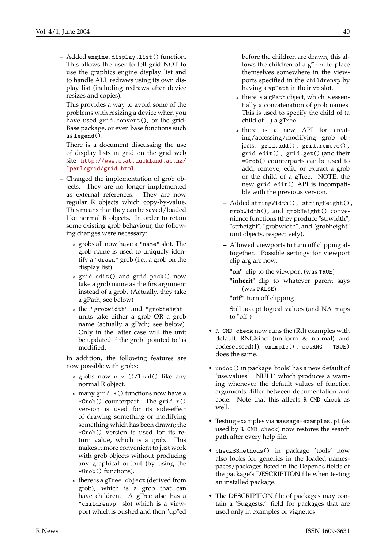**–** Added engine.display.list() function. This allows the user to tell grid NOT to use the graphics engine display list and to handle ALL redraws using its own display list (including redraws after device resizes and copies).

This provides a way to avoid some of the problems with resizing a device when you have used grid.convert(), or the grid-Base package, or even base functions such as legend().

There is a document discussing the use of display lists in grid on the grid web site [http://www.stat.auckland.ac.nz/](http://www.stat.auckland.ac.nz/~paul/grid/grid.html) [~paul/grid/grid.html](http://www.stat.auckland.ac.nz/~paul/grid/grid.html)

- **–** Changed the implementation of grob objects. They are no longer implemented as external references. They are now regular R objects which copy-by-value. This means that they can be saved/loaded like normal R objects. In order to retain some existing grob behaviour, the following changes were necessary:
	- \* grobs all now have a "name" slot. The grob name is used to uniquely identify a "drawn" grob (i.e., a grob on the display list).
	- \* grid.edit() and grid.pack() now take a grob name as the firs argument instead of a grob. (Actually, they take a gPath; see below)
	- \* the "grobwidth" and "grobheight" units take either a grob OR a grob name (actually a gPath; see below). Only in the latter case will the unit be updated if the grob "pointed to" is modified.

In addition, the following features are now possible with grobs:

- \* grobs now save()/load() like any normal R object.
- \* many grid.\*() functions now have a \*Grob() counterpart. The grid.\*() version is used for its side-effect of drawing something or modifying something which has been drawn; the \*Grob() version is used for its return value, which is a grob. This makes it more convenient to just work with grob objects without producing any graphical output (by using the \*Grob() functions).
- \* there is a gTree object (derived from grob), which is a grob that can have children. A gTree also has a "childrenvp" slot which is a viewport which is pushed and then "up"ed

before the children are drawn; this allows the children of a gTree to place themselves somewhere in the viewports specified in the childrenvp by having a vpPath in their vp slot.

- \* there is a gPath object, which is essentially a concatenation of grob names. This is used to specify the child of (a child of ...) a gTree.
- \* there is a new API for creating/accessing/modifying grob objects: grid.add(), grid.remove(), grid.edit(), grid.get() (and their \*Grob() counterparts can be used to add, remove, edit, or extract a grob or the child of a gTree. NOTE: the new grid.edit() API is incompatible with the previous version.
- **–** Added stringWidth(), stringHeight(), grobWidth(), and grobHeight() convenience functions (they produce "strwidth", "strheight", "grobwidth", and "grobheight" unit objects, respectively).
- **–** Allowed viewports to turn off clipping altogether. Possible settings for viewport clip arg are now:

**"on"** clip to the viewport (was TRUE) **"inherit"** clip to whatever parent says (was FALSE)

**"off"** turn off clipping

Still accept logical values (and NA maps to "off")

- R CMD check now runs the (Rd) examples with default RNGkind (uniform & normal) and codeset.seed(1). example(\*, setRNG = TRUE) does the same.
- undoc() in package 'tools' has a new default of 'use.values = NULL' which produces a warning whenever the default values of function arguments differ between documentation and code. Note that this affects R CMD check as well.
- Testing examples via massage-examples.pl (as used by R CMD check) now restores the search path after every help file.
- checkS3methods() in package 'tools' now also looks for generics in the loaded namespaces/packages listed in the Depends fields of the package's DESCRIPTION file when testing an installed package.
- The DESCRIPTION file of packages may contain a 'Suggests:' field for packages that are used only in examples or vignettes.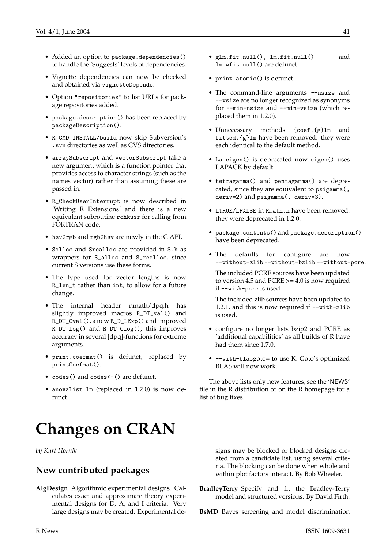- Added an option to package.dependencies() to handle the 'Suggests' levels of dependencies.
- Vignette dependencies can now be checked and obtained via vignetteDepends.
- Option "repositories" to list URLs for package repositories added.
- package.description() has been replaced by packageDescription().
- R CMD INSTALL/build now skip Subversion's .svn directories as well as CVS directories.
- arraySubscript and vectorSubscript take a new argument which is a function pointer that provides access to character strings (such as the names vector) rather than assuming these are passed in.
- R\_CheckUserInterrupt is now described in 'Writing R Extensions' and there is a new equivalent subroutine rchkusr for calling from FORTRAN code.
- hsv2rgb and rgb2hsv are newly in the C API.
- Salloc and Srealloc are provided in S.h as wrappers for S\_alloc and S\_realloc, since current S versions use these forms.
- The type used for vector lengths is now R\_len\_t rather than int, to allow for a future change.
- The internal header nmath/dpq.h has slightly improved macros R\_DT\_val() and R\_DT\_Cval(), a new R\_D\_LExp() and improved R\_DT\_log() and R\_DT\_Clog(); this improves accuracy in several [dpq]-functions for extreme arguments.
- print.coefmat() is defunct, replaced by printCoefmat().
- codes() and codes < () are defunct.
- anovalist.lm (replaced in 1.2.0) is now defunct

# **Changes on CRAN**

<span id="page-40-0"></span>*by Kurt Hornik*

### **New contributed packages**

**AlgDesign** Algorithmic experimental designs. Calculates exact and approximate theory experimental designs for D, A, and I criteria. Very large designs may be created. Experimental de-

- glm.fit.null(), lm.fit.null() and lm.wfit.null() are defunct.
- print.atomic() is defunct.
- The command-line arguments --nsize and --vsize are no longer recognized as synonyms for --min-nsize and --min-vsize (which replaced them in 1.2.0).
- Unnecessary methods {coef.{g}lm and fitted.{g}lm have been removed: they were each identical to the default method.
- La.eigen() is deprecated now eigen() uses LAPACK by default.
- tetragamma() and pentagamma() are deprecated, since they are equivalent to psigamma(, deriv=2) and psigamma(, deriv=3).
- LTRUE/LFALSE in Rmath.h have been removed: they were deprecated in 1.2.0.
- package.contents() and package.description() have been deprecated.
- The defaults for configure are now --without-zlib --without-bzlib --without-pcre.
	- The included PCRE sources have been updated to version 4.5 and PCRE >= 4.0 is now required if --with-pcre is used.

The included zlib sources have been updated to 1.2.1, and this is now required if --with-zlib is used.

- configure no longer lists bzip2 and PCRE as 'additional capabilities' as all builds of R have had them since 1.7.0.
- --with-blasgoto= to use K. Goto's optimized BLAS will now work.

The above lists only new features, see the 'NEWS' file in the R distribution or on the R homepage for a list of bug fixes.

signs may be blocked or blocked designs created from a candidate list, using several criteria. The blocking can be done when whole and within plot factors interact. By Bob Wheeler.

**BradleyTerry** Specify and fit the Bradley-Terry model and structured versions. By David Firth.

**BsMD** Bayes screening and model discrimination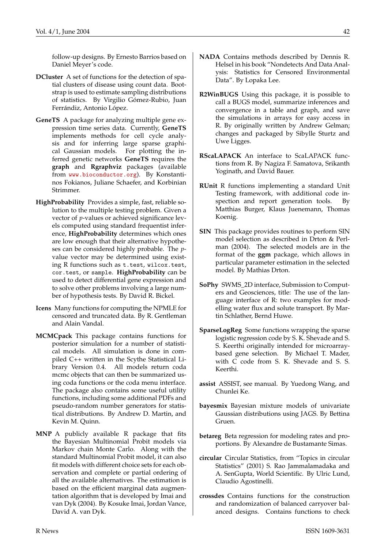follow-up designs. By Ernesto Barrios based on Daniel Meyer's code.

- **DCluster** A set of functions for the detection of spatial clusters of disease using count data. Bootstrap is used to estimate sampling distributions of statistics. By Virgilio Gómez-Rubio, Juan Ferrándiz, Antonio López.
- **GeneTS** A package for analyzing multiple gene expression time series data. Currently, **GeneTS** implements methods for cell cycle analysis and for inferring large sparse graphical Gaussian models. For plotting the inferred genetic networks **GeneTS** requires the **graph** and **Rgraphviz** packages (available from <www.bioconductor.org>). By Konstantinos Fokianos, Juliane Schaefer, and Korbinian Strimmer.
- **HighProbability** Provides a simple, fast, reliable solution to the multiple testing problem. Given a vector of *p*-values or achieved significance levels computed using standard frequentist inference, **HighProbability** determines which ones are low enough that their alternative hypotheses can be considered highly probable. The *p*value vector may be determined using existing R functions such as t.test, wilcox.test, cor.test, or sample. **HighProbability** can be used to detect differential gene expression and to solve other problems involving a large number of hypothesis tests. By David R. Bickel.
- **Icens** Many functions for computing the NPMLE for censored and truncated data. By R. Gentleman and Alain Vandal.
- **MCMCpack** This package contains functions for posterior simulation for a number of statistical models. All simulation is done in compiled C++ written in the Scythe Statistical Library Version 0.4. All models return coda mcmc objects that can then be summarized using coda functions or the coda menu interface. The package also contains some useful utility functions, including some additional PDFs and pseudo-random number generators for statistical distributions. By Andrew D. Martin, and Kevin M. Quinn.
- **MNP** A publicly available R package that fits the Bayesian Multinomial Probit models via Markov chain Monte Carlo. Along with the standard Multinomial Probit model, it can also fit models with different choice sets for each observation and complete or partial ordering of all the available alternatives. The estimation is based on the efficient marginal data augmentation algorithm that is developed by Imai and van Dyk (2004). By Kosuke Imai, Jordan Vance, David A. van Dyk.
- **NADA** Contains methods described by Dennis R. Helsel in his book "Nondetects And Data Analysis: Statistics for Censored Environmental Data". By Lopaka Lee.
- **R2WinBUGS** Using this package, it is possible to call a BUGS model, summarize inferences and convergence in a table and graph, and save the simulations in arrays for easy access in R. By originally written by Andrew Gelman; changes and packaged by Sibylle Sturtz and Uwe Ligges.
- **RScaLAPACK** An interface to ScaLAPACK functions from R. By Nagiza F. Samatova, Srikanth Yoginath, and David Bauer.
- **RUnit** R functions implementing a standard Unit Testing framework, with additional code inspection and report generation tools. By Matthias Burger, Klaus Juenemann, Thomas Koenig.
- **SIN** This package provides routines to perform SIN model selection as described in Drton & Perlman (2004). The selected models are in the format of the **ggm** package, which allows in particular parameter estimation in the selected model. By Mathias Drton.
- **SoPhy** SWMS\_2D interface, Submission to Computers and Geosciences, title: The use of the language interface of R: two examples for modelling water flux and solute transport. By Martin Schlather, Bernd Huwe.
- **SparseLogReg** Some functions wrapping the sparse logistic regression code by S. K. Shevade and S. S. Keerthi originally intended for microarraybased gene selection. By Michael T. Mader, with C code from S. K. Shevade and S. S. Keerthi.
- **assist** ASSIST, see manual. By Yuedong Wang, and Chunlei Ke.
- **bayesmix** Bayesian mixture models of univariate Gaussian distributions using JAGS. By Bettina Gruen.
- **betareg** Beta regression for modeling rates and proportions. By Alexandre de Bustamante Simas.
- **circular** Circular Statistics, from "Topics in circular Statistics" (2001) S. Rao Jammalamadaka and A. SenGupta, World Scientific. By Ulric Lund, Claudio Agostinelli.
- **crossdes** Contains functions for the construction and randomization of balanced carryover balanced designs. Contains functions to check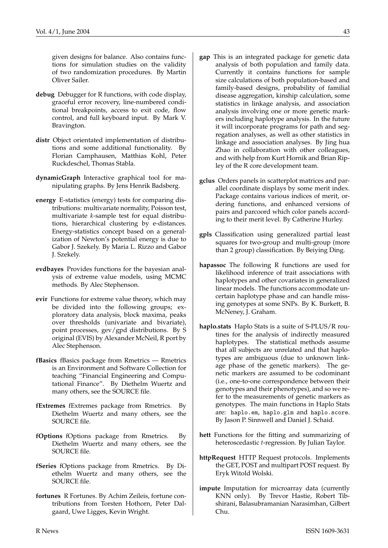given designs for balance. Also contains functions for simulation studies on the validity of two randomization procedures. By Martin Oliver Sailer.

- **debug** Debugger for R functions, with code display, graceful error recovery, line-numbered conditional breakpoints, access to exit code, flow control, and full keyboard input. By Mark V. Bravington.
- **distr** Object orientated implementation of distributions and some additional functionality. By Florian Camphausen, Matthias Kohl, Peter Ruckdeschel, Thomas Stabla.
- **dynamicGraph** Interactive graphical tool for manipulating graphs. By Jens Henrik Badsberg.
- **energy** E-statistics (energy) tests for comparing distributions: multivariate normality, Poisson test, multivariate *k*-sample test for equal distributions, hierarchical clustering by e-distances. Energy-statistics concept based on a generalization of Newton's potential energy is due to Gabor J. Szekely. By Maria L. Rizzo and Gabor J. Szekely.
- **evdbayes** Provides functions for the bayesian analysis of extreme value models, using MCMC methods. By Alec Stephenson.
- **evir** Functions for extreme value theory, which may be divided into the following groups; exploratory data analysis, block maxima, peaks over thresholds (univariate and bivariate), point processes, gev/gpd distributions. By S original (EVIS) by Alexander McNeil, R port by Alec Stephenson.
- **fBasics** fBasics package from Rmetrics Rmetrics is an Environment and Software Collection for teaching "Financial Engineering and Computational Finance". By Diethelm Wuertz and many others, see the SOURCE file.
- **fExtremes** fExtremes package from Rmetrics. By Diethelm Wuertz and many others, see the SOURCE file.
- **fOptions** fOptions package from Rmetrics. By Diethelm Wuertz and many others, see the SOURCE file.
- **fSeries** fOptions package from Rmetrics. By Diethelm Wuertz and many others, see the SOURCE file.
- **fortunes** R Fortunes. By Achim Zeileis, fortune contributions from Torsten Hothorn, Peter Dalgaard, Uwe Ligges, Kevin Wright.
- **gap** This is an integrated package for genetic data analysis of both population and family data. Currently it contains functions for sample size calculations of both population-based and family-based designs, probability of familial disease aggregation, kinship calculation, some statistics in linkage analysis, and association analysis involving one or more genetic markers including haplotype analysis. In the future it will incorporate programs for path and segregation analyses, as well as other statistics in linkage and association analyses. By Jing hua Zhao in collaboration with other colleagues, and with help from Kurt Hornik and Brian Ripley of the R core development team.
- **gclus** Orders panels in scatterplot matrices and parallel coordinate displays by some merit index. Package contains various indices of merit, ordering functions, and enhanced versions of pairs and parcoord which color panels according to their merit level. By Catherine Hurley.
- **gpls** Classification using generalized partial least squares for two-group and multi-group (more than 2 group) classification. By Beiying Ding.
- **hapassoc** The following R functions are used for likelihood inference of trait associations with haplotypes and other covariates in generalized linear models. The functions accommodate uncertain haplotype phase and can handle missing genotypes at some SNPs. By K. Burkett, B. McNeney, J. Graham.
- **haplo.stats** Haplo Stats is a suite of S-PLUS/R routines for the analysis of indirectly measured haplotypes. The statistical methods assume that all subjects are unrelated and that haplotypes are ambiguous (due to unknown linkage phase of the genetic markers). The genetic markers are assumed to be codominant (i.e., one-to-one correspondence between their genotypes and their phenotypes), and so we refer to the measurements of genetic markers as genotypes. The main functions in Haplo Stats are: haplo.em, haplo.glm and haplo.score. By Jason P. Sinnwell and Daniel J. Schaid.
- **hett** Functions for the fitting and summarizing of heteroscedastic *t*-regression. By Julian Taylor.
- **httpRequest** HTTP Request protocols. Implements the GET, POST and multipart POST request. By Eryk Witold Wolski.
- **impute** Imputation for microarray data (currently KNN only). By Trevor Hastie, Robert Tibshirani, Balasubramanian Narasimhan, Gilbert Chu.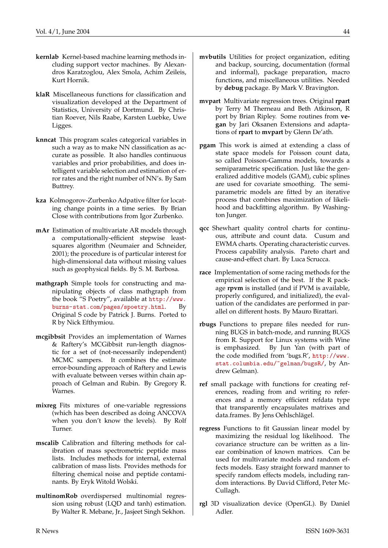- **kernlab** Kernel-based machine learning methods including support vector machines. By Alexandros Karatzoglou, Alex Smola, Achim Zeileis, Kurt Hornik.
- **klaR** Miscellaneous functions for classification and visualization developed at the Department of Statistics, University of Dortmund. By Christian Roever, Nils Raabe, Karsten Luebke, Uwe Ligges.
- **knncat** This program scales categorical variables in such a way as to make NN classification as accurate as possible. It also handles continuous variables and prior probabilities, and does intelligent variable selection and estimation of error rates and the right number of NN's. By Sam Buttrey.
- **kza** Kolmogorov-Zurbenko Adpative filter for locating change points in a time series. By Brian Close with contributions from Igor Zurbenko.
- **mAr** Estimation of multivariate AR models through a computationally-efficient stepwise leastsquares algorithm (Neumaier and Schneider, 2001); the procedure is of particular interest for high-dimensional data without missing values such as geophysical fields. By S. M. Barbosa.
- **mathgraph** Simple tools for constructing and manipulating objects of class mathgraph from the book "S Poetry", available at [http://www.](http://www.burns-stat.com/pages/spoetry.html) [burns-stat.com/pages/spoetry.html](http://www.burns-stat.com/pages/spoetry.html). By Original S code by Patrick J. Burns. Ported to R by Nick Efthymiou.
- **mcgibbsit** Provides an implementation of Warnes & Raftery's MCGibbsit run-length diagnostic for a set of (not-necessarily independent) MCMC sampers. It combines the estimate error-bounding approach of Raftery and Lewis with evaluate between verses within chain approach of Gelman and Rubin. By Gregory R. Warnes.
- **mixreg** Fits mixtures of one-variable regressions (which has been described as doing ANCOVA when you don't know the levels). By Rolf Turner.
- **mscalib** Calibration and filtering methods for calibration of mass spectrometric peptide mass lists. Includes methods for internal, external calibration of mass lists. Provides methods for filtering chemical noise and peptide contaminants. By Eryk Witold Wolski.
- **multinomRob** overdispersed multinomial regression using robust (LQD and tanh) estimation. By Walter R. Mebane, Jr., Jasjeet Singh Sekhon.
- **mvbutils** Utilities for project organization, editing and backup, sourcing, documentation (formal and informal), package preparation, macro functions, and miscellaneous utilities. Needed by **debug** package. By Mark V. Bravington.
- **mvpart** Multivariate regression trees. Original **rpart** by Terry M Therneau and Beth Atkinson, R port by Brian Ripley. Some routines from **vegan** by Jari Oksanen Extensions and adaptations of **rpart** to **mvpart** by Glenn De'ath.
- **pgam** This work is aimed at extending a class of state space models for Poisson count data, so called Poisson-Gamma models, towards a semiparametric specification. Just like the generalized additive models (GAM), cubic splines are used for covariate smoothing. The semiparametric models are fitted by an iterative process that combines maximization of likelihood and backfitting algorithm. By Washington Junger.
- **qcc** Shewhart quality control charts for continuous, attribute and count data. Cusum and EWMA charts. Operating characteristic curves. Process capability analysis. Pareto chart and cause-and-effect chart. By Luca Scrucca.
- **race** Implementation of some racing methods for the empirical selection of the best. If the R package **rpvm** is installed (and if PVM is available, properly configured, and initialized), the evaluation of the candidates are performed in parallel on different hosts. By Mauro Birattari.
- **rbugs** Functions to prepare files needed for running BUGS in batch-mode, and running BUGS from R. Support for Linux systems with Wine is emphasized. By Jun Yan (with part of the code modified from 'bugs.R', [http://www.](http://www.stat.columbia.edu/~gelman/bugsR/) [stat.columbia.edu/~gelman/bugsR/](http://www.stat.columbia.edu/~gelman/bugsR/), by Andrew Gelman).
- **ref** small package with functions for creating references, reading from and writing ro references and a memory efficient refdata type that transparently encapsulates matrixes and data.frames. By Jens Oehlschlägel.
- **regress** Functions to fit Gaussian linear model by maximizing the residual log likelihood. The covariance structure can be written as a linear combination of known matrices. Can be used for multivariate models and random effects models. Easy straight forward manner to specify random effects models, including random interactions. By David Clifford, Peter Mc-Cullagh.
- **rgl** 3D visualization device (OpenGL). By Daniel Adler.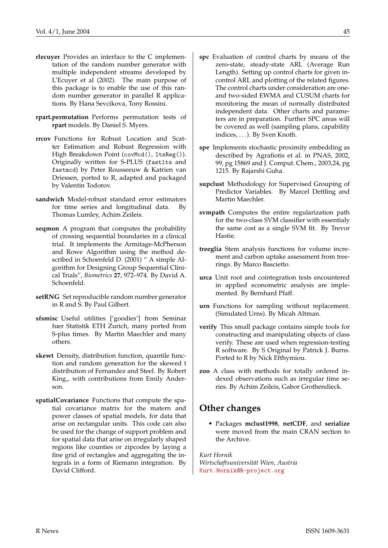- **rlecuyer** Provides an interface to the C implementation of the random number generator with multiple independent streams developed by L'Ecuyer et al (2002). The main purpose of this package is to enable the use of this random number generator in parallel R applications. By Hana Sevcikova, Tony Rossini.
- **rpart.permutation** Performs permutation tests of **rpart** models. By Daniel S. Myers.
- **rrcov** Functions for Robust Location and Scatter Estimation and Robust Regression with High Breakdown Point (covMcd(), ltsReg()). Originally written for S-PLUS (fastlts and fastmcd) by Peter Rousseeuw & Katrien van Driessen, ported to R, adapted and packaged by Valentin Todorov.
- **sandwich** Model-robust standard error estimators for time series and longitudinal data. By Thomas Lumley, Achim Zeileis.
- **seqmon** A program that computes the probability of crossing sequential boundaries in a clinical trial. It implements the Armitage-McPherson and Rowe Algorithm using the method described in Schoenfeld D. (2001) " A simple Algorithm for Designing Group Sequential Clinical Trials", *Biometrics* **27**, 972–974. By David A. Schoenfeld.
- **setRNG** Set reproducible random number generator in R and S. By Paul Gilbert.
- **sfsmisc** Useful utilities ['goodies'] from Seminar fuer Statistik ETH Zurich, many ported from S-plus times. By Martin Maechler and many others.
- **skewt** Density, distribution function, quantile function and random generation for the skewed t distribution of Fernandez and Steel. By Robert King,, with contributions from Emily Anderson.
- **spatialCovariance** Functions that compute the spatial covariance matrix for the matern and power classes of spatial models, for data that arise on rectangular units. This code can also be used for the change of support problem and for spatial data that arise on irregularly shaped regions like counties or zipcodes by laying a fine grid of rectangles and aggregating the integrals in a form of Riemann integration. By David Clifford.
- **spc** Evaluation of control charts by means of the zero-state, steady-state ARL (Average Run Length). Setting up control charts for given incontrol ARL and plotting of the related figures. The control charts under consideration are oneand two-sided EWMA and CUSUM charts for monitoring the mean of normally distributed independent data. Other charts and parameters are in preparation. Further SPC areas will be covered as well (sampling plans, capability indices, ...). By Sven Knoth.
- **spe** Implements stochastic proximity embedding as described by Agrafiotis et al. in PNAS, 2002, 99, pg 15869 and J. Comput. Chem., 2003,24, pg 1215. By Rajarshi Guha.
- **supclust** Methodology for Supervised Grouping of Predictor Variables. By Marcel Dettling and Martin Maechler.
- **svmpath** Computes the entire regularization path for the two-class SVM classifier with essentialy the same cost as a single SVM fit. By Trevor Hastie.
- **treeglia** Stem analysis functions for volume increment and carbon uptake assessment from treerings. By Marco Bascietto.
- **urca** Unit root and cointegration tests encountered in applied econometric analysis are implemented. By Bernhard Pfaff.
- **urn** Functions for sampling without replacement. (Simulated Urns). By Micah Altman.
- **verify** This small package contains simple tools for constructing and manipulating objects of class verify. These are used when regression-testing R software. By S Original by Patrick J. Burns. Ported to R by Nick Efthymiou.
- **zoo** A class with methods for totally ordered indexed observations such as irregular time series. By Achim Zeileis, Gabor Grothendieck.

### **Other changes**

• Packages **mclust1998**, **netCDF**, and **serialize** were moved from the main CRAN section to the Archive.

*Kurt Hornik Wirtschaftsuniversität Wien, Austria* [Kurt.Hornik@R-project.org](mailto:Kurt.Hornik@R-project.org)